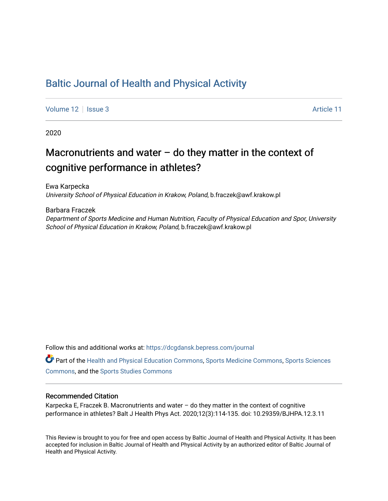# [Baltic Journal of Health and Physical Activity](https://dcgdansk.bepress.com/journal)

[Volume 12](https://dcgdansk.bepress.com/journal/vol12) | [Issue 3](https://dcgdansk.bepress.com/journal/vol12/iss3) Article 11

2020

# Macronutrients and water  $-$  do they matter in the context of cognitive performance in athletes?

Ewa Karpecka University School of Physical Education in Krakow, Poland, b.fraczek@awf.krakow.pl

Barbara Fraczek

Department of Sports Medicine and Human Nutrition, Faculty of Physical Education and Spor, University School of Physical Education in Krakow, Poland, b.fraczek@awf.krakow.pl

Follow this and additional works at: [https://dcgdansk.bepress.com/journal](https://dcgdansk.bepress.com/journal?utm_source=dcgdansk.bepress.com%2Fjournal%2Fvol12%2Fiss3%2F11&utm_medium=PDF&utm_campaign=PDFCoverPages)

Part of the [Health and Physical Education Commons](http://network.bepress.com/hgg/discipline/1327?utm_source=dcgdansk.bepress.com%2Fjournal%2Fvol12%2Fiss3%2F11&utm_medium=PDF&utm_campaign=PDFCoverPages), [Sports Medicine Commons,](http://network.bepress.com/hgg/discipline/1331?utm_source=dcgdansk.bepress.com%2Fjournal%2Fvol12%2Fiss3%2F11&utm_medium=PDF&utm_campaign=PDFCoverPages) [Sports Sciences](http://network.bepress.com/hgg/discipline/759?utm_source=dcgdansk.bepress.com%2Fjournal%2Fvol12%2Fiss3%2F11&utm_medium=PDF&utm_campaign=PDFCoverPages) [Commons](http://network.bepress.com/hgg/discipline/759?utm_source=dcgdansk.bepress.com%2Fjournal%2Fvol12%2Fiss3%2F11&utm_medium=PDF&utm_campaign=PDFCoverPages), and the [Sports Studies Commons](http://network.bepress.com/hgg/discipline/1198?utm_source=dcgdansk.bepress.com%2Fjournal%2Fvol12%2Fiss3%2F11&utm_medium=PDF&utm_campaign=PDFCoverPages) 

#### Recommended Citation

Karpecka E, Fraczek B. Macronutrients and water – do they matter in the context of cognitive performance in athletes? Balt J Health Phys Act. 2020;12(3):114-135. doi: 10.29359/BJHPA.12.3.11

This Review is brought to you for free and open access by Baltic Journal of Health and Physical Activity. It has been accepted for inclusion in Baltic Journal of Health and Physical Activity by an authorized editor of Baltic Journal of Health and Physical Activity.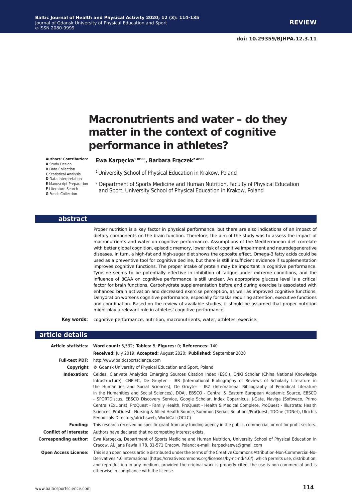# **Macronutrients and water – do they matter in the context of cognitive performance in athletes?**

#### **Authors' Contribution:**

- **A** Study Design
- **B** Data Collection
- **C** Statistical Analysis **D** Data Interpretation
- **E** Manuscript Preparation
- **F** Literature Search
- **G** Funds Collection

### <sup>1</sup> University School of Physical Education in Krakow, Poland

**Ewa Karpęcka1 BDEF, Barbara Frączek2 ADEF**

2 Department of Sports Medicine and Human Nutrition, Faculty of Physical Education and Sport, University School of Physical Education in Krakow, Poland

#### **abstract**

Proper nutrition is a key factor in physical performance, but there are also indications of an impact of dietary components on the brain function. Therefore, the aim of the study was to assess the impact of macronutrients and water on cognitive performance. Assumptions of the Mediterranean diet correlate with better global cognition, episodic memory, lower risk of cognitive impairment and neurodegenerative diseases. In turn, a high-fat and high-sugar diet shows the opposite effect. Omega-3 fatty acids could be used as a preventive tool for cognitive decline, but there is still insufficient evidence if supplementation improves cognitive functions. The proper intake of protein may be important in cognitive performance. Tyrosine seems to be potentially effective in inhibition of fatigue under extreme conditions, and the influence of BCAA on cognitive performance is still unclear. An appropriate glucose level is a critical factor for brain functions. Carbohydrate supplementation before and during exercise is associated with enhanced brain activation and decreased exercise perception, as well as improved cognitive functions. Dehydration worsens cognitive performance, especially for tasks requiring attention, executive functions and coordination. Based on the review of available studies, it should be assumed that proper nutrition might play a relevant role in athletes' cognitive performance.

**Key words:** cognitive performance, nutrition, macronutrients, water, athletes, exercise.

#### **article details**

|                             | Article statistics: Word count: 5,532; Tables: 5; Figures: 0; References: 140                                                                                                                                                                                                                                                                                                                                                                                                                                                                                                                                                                                                                                                                                                                                                                                 |  |  |
|-----------------------------|---------------------------------------------------------------------------------------------------------------------------------------------------------------------------------------------------------------------------------------------------------------------------------------------------------------------------------------------------------------------------------------------------------------------------------------------------------------------------------------------------------------------------------------------------------------------------------------------------------------------------------------------------------------------------------------------------------------------------------------------------------------------------------------------------------------------------------------------------------------|--|--|
|                             | Received: July 2019; Accepted: August 2020; Published: September 2020                                                                                                                                                                                                                                                                                                                                                                                                                                                                                                                                                                                                                                                                                                                                                                                         |  |  |
| <b>Full-text PDF:</b>       | http://www.balticsportscience.com                                                                                                                                                                                                                                                                                                                                                                                                                                                                                                                                                                                                                                                                                                                                                                                                                             |  |  |
| Copyright                   | © Gdansk University of Physical Education and Sport, Poland                                                                                                                                                                                                                                                                                                                                                                                                                                                                                                                                                                                                                                                                                                                                                                                                   |  |  |
| Indexation:                 | Celdes, Clarivate Analytics Emerging Sources Citation Index (ESCI), CNKI Scholar (China National Knowledge<br>Infrastructure), CNPIEC, De Gruyter - IBR (International Bibliography of Reviews of Scholarly Literature in<br>the Humanities and Social Sciences), De Gruyter - IBZ (International Bibliography of Periodical Literature<br>in the Humanities and Social Sciences), DOAJ, EBSCO - Central & Eastern European Academic Source, EBSCO<br>- SPORTDiscus, EBSCO Discovery Service, Google Scholar, Index Copernicus, J-Gate, Naviga (Softweco, Primo<br>Central (ExLibris), ProQuest - Family Health, ProQuest - Health & Medical Complete, ProQuest - Illustrata: Health<br>Sciences, ProQuest - Nursing & Allied Health Source, Summon (Serials Solutions/ProQuest, TDOne (TDNet), Ulrich's<br>Periodicals Directory/ulrichsweb, WorldCat (OCLC) |  |  |
| <b>Funding:</b>             | This research received no specific grant from any funding agency in the public, commercial, or not-for-profit sectors.                                                                                                                                                                                                                                                                                                                                                                                                                                                                                                                                                                                                                                                                                                                                        |  |  |
|                             | <b>Conflict of interests:</b> Authors have declared that no competing interest exists.                                                                                                                                                                                                                                                                                                                                                                                                                                                                                                                                                                                                                                                                                                                                                                        |  |  |
| Corresponding author:       | Ewa Karpecka, Department of Sports Medicine and Human Nutrition, University School of Physical Education in<br>Cracow, Al. Jana Pawła II 78, 31-571 Cracow, Poland; e-mail: karpeckaewa@gmail.com                                                                                                                                                                                                                                                                                                                                                                                                                                                                                                                                                                                                                                                             |  |  |
| <b>Open Access License:</b> | This is an open access article distributed under the terms of the Creative Commons Attribution-Non-Commercial-No-<br>Derivatives 4.0 International (https://creativecommons.org/licenses/by-nc-nd/4.0/), which permits use, distribution,<br>and reproduction in any medium, provided the original work is properly cited, the use is non-commercial and is<br>otherwise in compliance with the license.                                                                                                                                                                                                                                                                                                                                                                                                                                                      |  |  |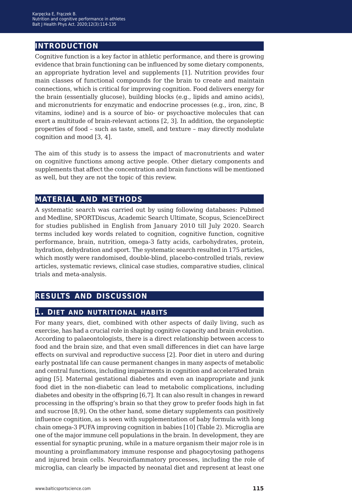# **introduction**

Cognitive function is a key factor in athletic performance, and there is growing evidence that brain functioning can be influenced by some dietary components, an appropriate hydration level and supplements [1]. Nutrition provides four main classes of functional compounds for the brain to create and maintain connections, which is critical for improving cognition. Food delivers energy for the brain (essentially glucose), building blocks (e.g., lipids and amino acids), and micronutrients for enzymatic and endocrine processes (e.g., iron, zinc, B vitamins, iodine) and is a source of bio- or psychoactive molecules that can exert a multitude of brain-relevant actions [2, 3]. In addition, the organoleptic properties of food – such as taste, smell, and texture – may directly modulate cognition and mood [3, 4].

The aim of this study is to assess the impact of macronutrients and water on cognitive functions among active people. Other dietary components and supplements that affect the concentration and brain functions will be mentioned as well, but they are not the topic of this review.

# **material and methods**

A systematic search was carried out by using following databases: Pubmed and Medline, SPORTDiscus, Academic Search Ultimate, Scopus, ScienceDirect for studies published in English from January 2010 till July 2020. Search terms included key words related to cognition, cognitive function, cognitive performance, brain, nutrition, omega-3 fatty acids, carbohydrates, protein, hydration, dehydration and sport. The systematic search resulted in 175 articles, which mostly were randomised, double-blind, placebo-controlled trials, review articles, systematic reviews, clinical case studies, comparative studies, clinical trials and meta-analysis.

# **results and discussion**

# **1. diet and nutritional habits**

For many years, diet, combined with other aspects of daily living, such as exercise, has had a crucial role in shaping cognitive capacity and brain evolution. According to palaeontologists, there is a direct relationship between access to food and the brain size, and that even small differences in diet can have large effects on survival and reproductive success [2]. Poor diet in utero and during early postnatal life can cause permanent changes in many aspects of metabolic and central functions, including impairments in cognition and accelerated brain aging [5]. Maternal gestational diabetes and even an inappropriate and junk food diet in the non-diabetic can lead to metabolic complications, including diabetes and obesity in the offspring [6,7]. It can also result in changes in reward processing in the offspring's brain so that they grow to prefer foods high in fat and sucrose [8,9]. On the other hand, some dietary supplements can positively influence cognition, as is seen with supplementation of baby formula with long chain omega-3 PUFA improving cognition in babies [10] (Table 2). Microglia are one of the major immune cell populations in the brain. In development, they are essential for synaptic pruning, while in a mature organism their major role is in mounting a proinflammatory immune response and phagocytosing pathogens and injured brain cells. Neuroinflammatory processes, including the role of microglia, can clearly be impacted by neonatal diet and represent at least one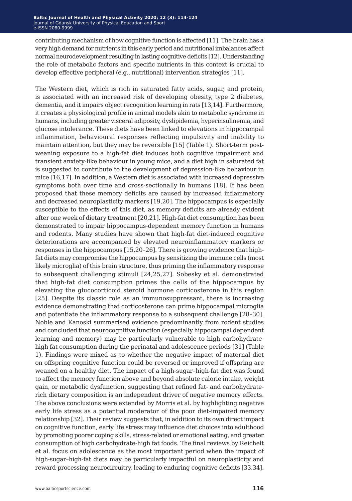contributing mechanism of how cognitive function is affected [11]. The brain has a very high demand for nutrients in this early period and nutritional imbalances affect normal neurodevelopment resulting in lasting cognitive deficits [12]. Understanding the role of metabolic factors and specific nutrients in this context is crucial to develop effective peripheral (e.g., nutritional) intervention strategies [11].

The Western diet, which is rich in saturated fatty acids, sugar, and protein, is associated with an increased risk of developing obesity, type 2 diabetes, dementia, and it impairs object recognition learning in rats [13,14]. Furthermore, it creates a physiological profile in animal models akin to metabolic syndrome in humans, including greater visceral adiposity, dyslipidemia, hyperinsulinemia, and glucose intolerance. These diets have been linked to elevations in hippocampal inflammation, behavioural responses reflecting impulsivity and inability to maintain attention, but they may be reversible [15] (Table 1). Short-term postweaning exposure to a high-fat diet induces both cognitive impairment and transient anxiety-like behaviour in young mice, and a diet high in saturated fat is suggested to contribute to the development of depression-like behaviour in mice [16,17]. In addition, a Western diet is associated with increased depressive symptoms both over time and cross-sectionally in humans [18]. It has been proposed that these memory deficits are caused by increased inflammatory and decreased neuroplasticity markers [19,20]. The hippocampus is especially susceptible to the effects of this diet, as memory deficits are already evident after one week of dietary treatment [20,21]. High-fat diet consumption has been demonstrated to impair hippocampus-dependent memory function in humans and rodents. Many studies have shown that high-fat diet-induced cognitive deteriorations are accompanied by elevated neuroinflammatory markers or responses in the hippocampus [15,20*−*26]. There is growing evidence that highfat diets may compromise the hippocampus by sensitizing the immune cells (most likely microglia) of this brain structure, thus priming the inflammatory response to subsequent challenging stimuli [24,25,27]. Sobesky et al. demonstrated that high-fat diet consumption primes the cells of the hippocampus by elevating the glucocorticoid steroid hormone corticosterone in this region [25]. Despite its classic role as an immunosuppressant, there is increasing evidence demonstrating that corticosterone can prime hippocampal microglia and potentiate the inflammatory response to a subsequent challenge [28*−*30]. Noble and Kanoski summarised evidence predominantly from rodent studies and concluded that neurocognitive function (especially hippocampal dependent learning and memory) may be particularly vulnerable to high carbohydratehigh fat consumption during the perinatal and adolescence periods [31] (Table 1). Findings were mixed as to whether the negative impact of maternal diet on offspring cognitive function could be reversed or improved if offspring are weaned on a healthy diet. The impact of a high-sugar–high-fat diet was found to affect the memory function above and beyond absolute calorie intake, weight gain, or metabolic dysfunction, suggesting that refined fat- and carbohydraterich dietary composition is an independent driver of negative memory effects. The above conclusions were extended by Morris et al. by highlighting negative early life stress as a potential moderator of the poor diet-impaired memory relationship [32]. Their review suggests that, in addition to its own direct impact on cognitive function, early life stress may influence diet choices into adulthood by promoting poorer coping skills, stress-related or emotional eating, and greater consumption of high carbohydrate-high fat foods. The final reviews by Reichelt et al. focus on adolescence as the most important period when the impact of high-sugar–high-fat diets may be particularly impactful on neuroplasticity and reward-processing neurocircuitry, leading to enduring cognitive deficits [33,34].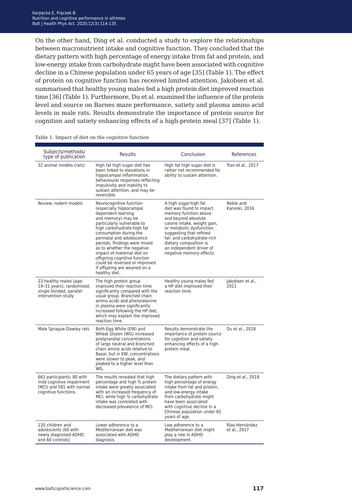On the other hand, Ding et al. conducted a study to explore the relationships between macronutrient intake and cognitive function. They concluded that the dietary pattern with high percentage of energy intake from fat and protein, and low-energy intake from carbohydrate might have been associated with cognitive decline in a Chinese population under 65 years of age [35] (Table 1). The effect of protein on cognitive function has received limited attention. Jakobsen et al. summarised that healthy young males fed a high protein diet improved reaction time [36] (Table 1). Furthermore, Du et al. examined the influence of the protein level and source on Barnes maze performance, satiety and plasma amino acid levels in male rats. Results demonstrate the importance of protein source for cognition and satiety enhancing effects of a high-protein meal [37] (Table 1).

| Subjects/methods/<br>type of publication                                                                    | <b>Results</b>                                                                                                                                                                                                                                                                                                                                                                                                                  | Conclusion                                                                                                                                                                                                                                                                                                | References                     |
|-------------------------------------------------------------------------------------------------------------|---------------------------------------------------------------------------------------------------------------------------------------------------------------------------------------------------------------------------------------------------------------------------------------------------------------------------------------------------------------------------------------------------------------------------------|-----------------------------------------------------------------------------------------------------------------------------------------------------------------------------------------------------------------------------------------------------------------------------------------------------------|--------------------------------|
| 32 animal models (rats)                                                                                     | High fat high sugar diet has<br>been linked to elevations in<br>hippocampal inflammation,<br>behavioural responses reflecting<br>impulsivity and inability to<br>sustain attention, and may be<br>reversible.                                                                                                                                                                                                                   | High fat high sugar diet is<br>rather not recommended for<br>ability to sustain attention.                                                                                                                                                                                                                | Tran et al., 2017              |
| Review, rodent models                                                                                       | Neurocognitive function<br>(especially hippocampal<br>dependent learning<br>and memory) may be<br>particularly vulnerable to<br>high carbohydrate-high fat<br>consumption during the<br>perinatal and adolescence<br>periods. Findings were mixed<br>as to whether the negative<br>impact of maternal diet on<br>offspring cognitive function<br>could be reversed or improved<br>if offspring are weaned on a<br>healthy diet. | A high sugar-high fat<br>diet was found to impact<br>memory function above<br>and beyond absolute<br>calorie intake, weight gain,<br>or metabolic dysfunction,<br>suggesting that refined<br>fat- and carbohydrate-rich<br>dietary composition is<br>an independent driver of<br>negative memory effects. | Noble and<br>Kanoski, 2016     |
| 23 healthy males (age:<br>19-31 years), randomised,<br>single blinded, parallel<br>intervention study       | The high protein group<br>improved their reaction time<br>significantly compared with the<br>usual group. Branched chain<br>amino acids and phenylalanine<br>in plasma were significantly<br>increased following the HP diet,<br>which may explain the improved<br>reaction time.                                                                                                                                               | Healthy young males fed<br>a HP diet improved their<br>reaction time.                                                                                                                                                                                                                                     | Jakobsen et al.,<br>2011       |
| Male Sprague-Dawley rats                                                                                    | Both Egg White (EW) and<br>Wheat Gluten (WG) increased<br>postprandial concentrations<br>of large neutral and branched<br>chain amino acids relative to<br>Basal, but in EW, concentrations<br>were slower to peak, and<br>peaked to a higher level than<br>WG.                                                                                                                                                                 | Results demonstrate the<br>importance of protein source<br>for cognition and satiety<br>enhancing effects of a high-<br>protein meal.                                                                                                                                                                     | Du et al., 2018                |
| 661 participants; 80 with<br>mild cognitive impairment<br>(MCI) and 581 with normal<br>cognitive functions. | The results revealed that high<br>percentage and high % protein<br>intake were greatly associated<br>with an increased frequency of<br>MCI, while high % carbohydrate<br>intake was correlated with<br>decreased prevalence of MCI.                                                                                                                                                                                             | The dietary pattern with<br>high percentage of energy<br>intake from fat and protein,<br>and low-energy intake<br>from carbohydrate might<br>have been associated<br>with cognitive decline in a<br>Chinese population under 65<br>years of age.                                                          | Ding et al., 2018              |
| 120 children and<br>adolescents (60 with<br>newly diagnosed ADHD<br>and 60 controls)                        | Lower adherence to a<br>Mediterranean diet was<br>associated with ADHD<br>diagnosis.                                                                                                                                                                                                                                                                                                                                            | Low adherence to a<br>Mediterranean diet might<br>play a role in ADHD<br>development.                                                                                                                                                                                                                     | Ríos-Hernández<br>et al., 2017 |

Table 1. Impact of diet on the cognitive function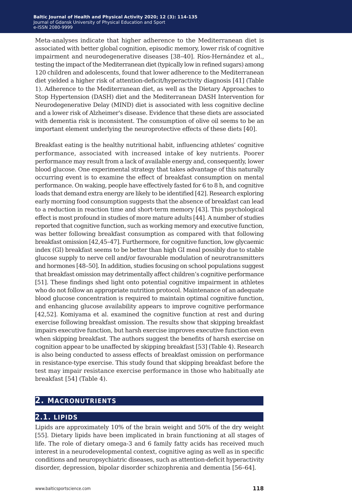Meta-analyses indicate that higher adherence to the Mediterranean diet is associated with better global cognition, episodic memory, lower risk of cognitive impairment and neurodegenerative diseases [38*−*40]. Ríos-Hernández et al., testing the impact of the Mediterranean diet (typically low in refined sugars) among 120 children and adolescents, found that lower adherence to the Mediterranean diet yielded a higher risk of attention-deficit/hyperactivity diagnosis [41] (Table 1). Adherence to the Mediterranean diet, as well as the Dietary Approaches to Stop Hypertension (DASH) diet and the Mediterranean DASH Intervention for Neurodegenerative Delay (MIND) diet is associated with less cognitive decline and a lower risk of Alzheimer's disease. Evidence that these diets are associated with dementia risk is inconsistent. The consumption of olive oil seems to be an important element underlying the neuroprotective effects of these diets [40].

Breakfast eating is the healthy nutritional habit, influencing athletes' cognitive performance, associated with increased intake of key nutrients. Poorer performance may result from a lack of available energy and, consequently, lower blood glucose. One experimental strategy that takes advantage of this naturally occurring event is to examine the effect of breakfast consumption on mental performance. On waking, people have effectively fasted for 6 to 8 h, and cognitive loads that demand extra energy are likely to be identified [42]. Research exploring early morning food consumption suggests that the absence of breakfast can lead to a reduction in reaction time and short-term memory [43]. This psychological effect is most profound in studies of more mature adults [44]. A number of studies reported that cognitive function, such as working memory and executive function, was better following breakfast consumption as compared with that following breakfast omission [42,45*−*47]. Furthermore, for cognitive function, low glycaemic index (GI) breakfast seems to be better than high GI meal possibly due to stable glucose supply to nerve cell and/or favourable modulation of neurotransmitters and hormones [48*−*50]. In addition, studies focusing on school populations suggest that breakfast omission may detrimentally affect children's cognitive performance [51]. These findings shed light onto potential cognitive impairment in athletes who do not follow an appropriate nutrition protocol. Maintenance of an adequate blood glucose concentration is required to maintain optimal cognitive function, and enhancing glucose availability appears to improve cognitive performance [42,52]. Komiyama et al. examined the cognitive function at rest and during exercise following breakfast omission. The results show that skipping breakfast impairs executive function, but harsh exercise improves executive function even when skipping breakfast. The authors suggest the benefits of harsh exercise on cognition appear to be unaffected by skipping breakfast [53] (Table 4). Research is also being conducted to assess effects of breakfast omission on performance in resistance-type exercise. This study found that skipping breakfast before the test may impair resistance exercise performance in those who habitually ate breakfast [54] (Table 4).

# **2. macronutrients**

# **2.1. lipids**

Lipids are approximately 10% of the brain weight and 50% of the dry weight [55]. Dietary lipids have been implicated in brain functioning at all stages of life. The role of dietary omega-3 and 6 family fatty acids has received much interest in a neurodevelopmental context, cognitive aging as well as in specific conditions and neuropsychiatric diseases, such as attention-deficit hyperactivity disorder, depression, bipolar disorder schizophrenia and dementia [56*−*64].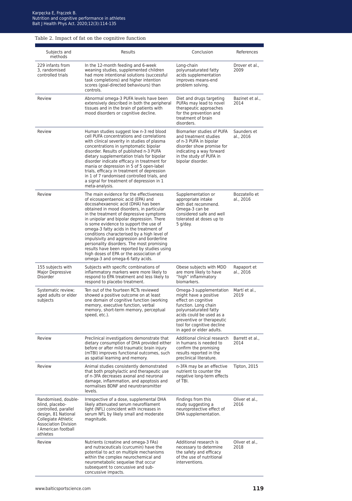#### Table 2. Impact of fat on the cognitive function

| Subjects and<br>methods                                                                                                                                                        | Results                                                                                                                                                                                                                                                                                                                                                                                                                                                                                                                                                                                                               | Conclusion                                                                                                                                                                                                                                  | References                 |
|--------------------------------------------------------------------------------------------------------------------------------------------------------------------------------|-----------------------------------------------------------------------------------------------------------------------------------------------------------------------------------------------------------------------------------------------------------------------------------------------------------------------------------------------------------------------------------------------------------------------------------------------------------------------------------------------------------------------------------------------------------------------------------------------------------------------|---------------------------------------------------------------------------------------------------------------------------------------------------------------------------------------------------------------------------------------------|----------------------------|
| 229 infants from<br>3. randomised<br>controlled trials                                                                                                                         | In the 12-month feeding and 6-week<br>weaning studies, supplemented children<br>had more intentional solutions (successful<br>task completions) and higher intention<br>scores (goal-directed behaviours) than<br>controls.                                                                                                                                                                                                                                                                                                                                                                                           | Long-chain<br>polyunsaturated fatty<br>acids supplementation<br>improves means-end<br>problem solving.                                                                                                                                      | Drover et al.,<br>2009     |
| Review                                                                                                                                                                         | Abnormal omega-3 PUFA levels have been<br>extensively described in both the peripheral<br>tissues and in the brain of patients with<br>mood disorders or cognitive decline.                                                                                                                                                                                                                                                                                                                                                                                                                                           | Diet and drugs targeting<br>PUFAs may lead to novel<br>therapeutic approaches<br>for the prevention and<br>treatment of brain<br>disorders.                                                                                                 | Bazinet et al.,<br>2014    |
| Review                                                                                                                                                                         | Human studies suggest low n-3 red blood<br>cell PUFA concentrations and correlations<br>with clinical severity in studies of plasma<br>concentrations in symptomatic bipolar<br>disorder. Results of published n-3 PUFA<br>dietary supplementation trials for bipolar<br>disorder indicate efficacy in treatment for<br>mania or depression in 5 of 5 open-label<br>trials, efficacy in treatment of depression<br>in 1 of 7 randomised controlled trials, and<br>a signal for treatment of depression in 1<br>meta-analysis.                                                                                         | Biomarker studies of PUFA<br>and treatment studies<br>of n-3 PUFA in bipolar<br>disorder show promise for<br>indicating a way forward<br>in the study of PUFA in<br>bipolar disorder.                                                       | Saunders et<br>al., 2016   |
| Review                                                                                                                                                                         | The main evidence for the effectiveness<br>of eicosapentaenoic acid (EPA) and<br>docosahexaenoic acid (DHA) has been<br>obtained in mood disorders, in particular<br>in the treatment of depressive symptoms<br>in unipolar and bipolar depression. There<br>is some evidence to support the use of<br>omega-3 fatty acids in the treatment of<br>conditions characterised by a high level of<br>impulsivity and aggression and borderline<br>personality disorders. The most promising<br>results have been reported by studies using<br>high doses of EPA or the association of<br>omega-3 and omega-6 fatty acids. | Supplementation or<br>appropriate intake<br>with diet recommend.<br>Omega-3 can be<br>considered safe and well<br>tolerated at doses up to<br>5 g/day.                                                                                      | Bozzatello et<br>al., 2016 |
| 155 subjects with<br>Major Depressive<br>Disorder                                                                                                                              | Subjects with specific combinations of<br>inflammatory markers were more likely to<br>respond to EPA treatment and less likely to<br>respond to placebo treatment.                                                                                                                                                                                                                                                                                                                                                                                                                                                    | Obese subjects with MDD<br>are more likely to have<br>"high" inflammatory<br>biomarkers.                                                                                                                                                    | Rapaport et<br>al., 2016   |
| Systematic review;<br>aged adults or elder<br>subjects                                                                                                                         | Ten out of the fourteen RCTs reviewed<br>showed a positive outcome on at least<br>one domain of cognitive function (working<br>memory, executive function, verbal<br>memory, short-term memory, perceptual<br>speed, etc.).                                                                                                                                                                                                                                                                                                                                                                                           | Omega-3 supplementation<br>might have a positive<br>effect on cognitive<br>function. Long chain<br>polyunsaturated fatty<br>acids could be used as a<br>preventive or therapeutic<br>tool for cognitive decline<br>in aged or elder adults. | Martí et al.,<br>2019      |
| Review                                                                                                                                                                         | Preclinical investigations demonstrate that<br>dietary consumption of DHA provided either<br>before or after mild traumatic brain injury<br>(mTBI) improves functional outcomes, such<br>as spatial learning and memory.                                                                                                                                                                                                                                                                                                                                                                                              | Additional clinical research<br>in humans is needed to<br>confirm the promising<br>results reported in the<br>preclinical literature.                                                                                                       | Barrett et al.,<br>2014    |
| Review                                                                                                                                                                         | Animal studies consistently demonstrated<br>that both prophylactic and therapeutic use<br>of n-3FA decreases axonal and neuronal<br>damage, inflammation, and apoptosis and<br>normalises BDNF and neurotransmitter<br>levels.                                                                                                                                                                                                                                                                                                                                                                                        | n-3FA may be an effective<br>nutrient to counter the<br>negative long-term effects<br>of TBI.                                                                                                                                               | Tipton, 2015               |
| Randomised, double-<br>blind, placebo-<br>controlled, parallel<br>design, 81 National<br>Collegiate Athletic<br><b>Association Division</b><br>I American football<br>athletes | Irrespective of a dose, supplemental DHA<br>likely attenuated serum neurofilament<br>light (NFL) coincident with increases in<br>serum NFL by likely small and moderate<br>magnitude.                                                                                                                                                                                                                                                                                                                                                                                                                                 | Findings from this<br>study suggesting a<br>neuroprotective effect of<br>DHA supplementation.                                                                                                                                               | Oliver et al<br>2016       |
| Review                                                                                                                                                                         | Nutrients (creatine and omega-3 FAs)<br>and nutraceuticals (curcumin) have the<br>potential to act on multiple mechanisms<br>within the complex neurochemical and<br>neurometabolic sequelae that occur<br>subsequent to concussive and sub-<br>concussive impacts.                                                                                                                                                                                                                                                                                                                                                   | Additional research is<br>necessary to determine<br>the safety and efficacy<br>of the use of nutritional<br>interventions.                                                                                                                  | Oliver et al.,<br>2018     |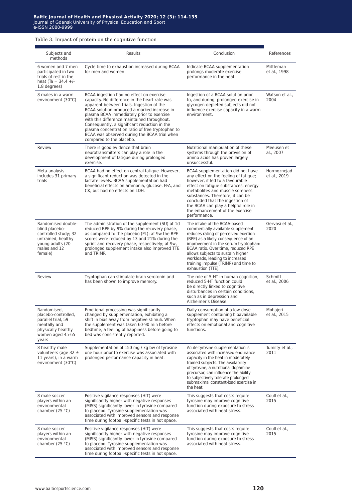#### Table 3. Impact of protein on the cognitive function

| Subjects and                                                                                                                      | Results                                                                                                                                                                                                                                                                                                                                                                                                                                                           | Conclusion                                                                                                                                                                                                                                                                                                                                                          | References                  |
|-----------------------------------------------------------------------------------------------------------------------------------|-------------------------------------------------------------------------------------------------------------------------------------------------------------------------------------------------------------------------------------------------------------------------------------------------------------------------------------------------------------------------------------------------------------------------------------------------------------------|---------------------------------------------------------------------------------------------------------------------------------------------------------------------------------------------------------------------------------------------------------------------------------------------------------------------------------------------------------------------|-----------------------------|
| methods<br>6 women and 7 men<br>participated in two<br>trials of rest in the<br>heat $(Ta = 34.4 +/-$<br>1.8 degrees)             | Cycle time to exhaustion increased during BCAA<br>for men and women.                                                                                                                                                                                                                                                                                                                                                                                              | Indicate BCAA supplementation<br>prolongs moderate exercise<br>performance in the heat.                                                                                                                                                                                                                                                                             | Mittleman<br>et al., 1998   |
| 8 males in a warm<br>environment (30°C)                                                                                           | BCAA ingestion had no effect on exercise<br>capacity. No difference in the heart rate was<br>apparent between trials. Ingestion of the<br>BCAA solution produced a marked increase in<br>plasma BCAA immediately prior to exercise<br>with this difference maintained throughout.<br>Consequently, a significant reduction in the<br>plasma concentration ratio of free tryptophan to<br>BCAA was observed during the BCAA trial when<br>compared to the placebo. | Ingestion of a BCAA solution prior<br>to, and during, prolonged exercise in<br>glycogen-depleted subjects did not<br>influence exercise capacity in a warm<br>environment.                                                                                                                                                                                          | Watson et al.,<br>2004      |
| Review                                                                                                                            | There is good evidence that brain<br>neurotransmitters can play a role in the<br>development of fatigue during prolonged<br>exercise.                                                                                                                                                                                                                                                                                                                             | Nutritional manipulation of these<br>systems through the provision of<br>amino acids has proven largely<br>unsuccessful.                                                                                                                                                                                                                                            | Meeusen et<br>al., 2007     |
| Meta-analysis<br>includes 31 primary<br>trials                                                                                    | BCAA had no effect on central fatigue. However,<br>a significant reduction was detected in the<br>lactate levels. BCAA supplementation had<br>beneficial effects on ammonia, glucose, FFA, and<br>CK, but had no effects on LDH.                                                                                                                                                                                                                                  | BCAA supplementation did not have<br>any effect on the feeling of fatigue;<br>however, it led to a favourable<br>effect on fatigue substances, energy<br>metabolites and muscle soreness<br>substances. Therefore, it can be<br>concluded that the ingestion of<br>the BCAA can play a helpful role in<br>the enhancement of the exercise<br>performance.           | Hormoznejad<br>et al., 2019 |
| Randomised double-<br>blind placebo-<br>controlled study; 32<br>untrained, healthy<br>young adults (20<br>males and 12<br>female) | The administration of the supplement (SU) at 1d<br>reduced RPE by 9% during the recovery phase,<br>as compared to the placebo (PL); at 9w the RPE<br>scores were reduced by 13 and 21% during the<br>sprint and recovery phase, respectively; at 9w,<br>prolonged supplement intake also improved TTE<br>and TRIMP.                                                                                                                                               | The intake of the BCAA-based<br>commercially available supplement<br>reduces rating of perceived exertion<br>(RPE) as a likely consequence of an<br>improvement in the serum tryptophan:<br>BCAA ratio. Over time, reduced RPE<br>allows subjects to sustain higher<br>workloads, leading to increased<br>training impulse (TRIMP) and time to<br>exhaustion (TTE). | Gervasi et al.,<br>2020     |
| Review                                                                                                                            | Tryptophan can stimulate brain serotonin and<br>has been shown to improve memory.                                                                                                                                                                                                                                                                                                                                                                                 | The role of 5-HT in human cognition,<br>reduced 5-HT function could<br>be directly linked to cognitive<br>disturbances in certain conditions,<br>such as in depression and<br>Alzheimer's Disease.                                                                                                                                                                  | Schmitt<br>et al., 2006     |
| Randomised,<br>placebo-controlled,<br>parallel trial, 59<br>mentally and<br>physically healthy<br>women aged 45-65<br>years       | Emotional processing was significantly<br>changed by supplementation, exhibiting a<br>shift in bias away from negative stimuli. When<br>the supplement was taken 60-90 min before<br>bedtime, a feeling of happiness before going to<br>bed was consistently reported.                                                                                                                                                                                            | Daily consumption of a low-dose<br>supplement containing bioavailable<br>tryptophan may have beneficial<br>effects on emotional and cognitive<br>functions.                                                                                                                                                                                                         | Mohajeri<br>et al., 2015    |
| 8 healthy male<br>volunteers (age 32 $\pm$<br>11 years), in a warm<br>environment (30°C)                                          | Supplementation of 150 mg / kg bw of tyrosine<br>one hour prior to exercise was associated with<br>prolonged performance capacity in heat.                                                                                                                                                                                                                                                                                                                        | Acute tyrosine supplementation is<br>associated with increased endurance<br>capacity in the heat in moderately<br>trained subjects. The availability<br>of tyrosine, a nutritional dopamine<br>precursor, can influence the ability<br>to subjectively tolerate prolonged<br>submaximal constant-load exercise in<br>the heat.                                      | Tumilty et al.,<br>2011     |
| 8 male soccer<br>players within an<br>environmental<br>chamber $(25 °C)$                                                          | Positive vigilance responses (HIT) were<br>significantly higher with negative responses<br>(MISS) significantly lower in tyrosine compared<br>to placebo. Tyrosine supplementation was<br>associated with improved sensors and response<br>time during football-specific tests in hot space.                                                                                                                                                                      | This suggests that costs require<br>tyrosine may improve cognitive<br>function during exposure to stress<br>associated with heat stress.                                                                                                                                                                                                                            | Coull et al.,<br>2015       |
| 8 male soccer<br>players within an<br>environmental<br>chamber $(25 °C)$                                                          | Positive vigilance responses (HIT) were<br>significantly higher with negative responses<br>(MISS) significantly lower in tyrosine compared<br>to placebo. Tyrosine supplementation was<br>associated with improved sensors and response<br>time during football-specific tests in hot space.                                                                                                                                                                      | This suggests that costs require<br>tyrosine may improve cognitive<br>function during exposure to stress<br>associated with heat stress.                                                                                                                                                                                                                            | Coull et al.,<br>2015       |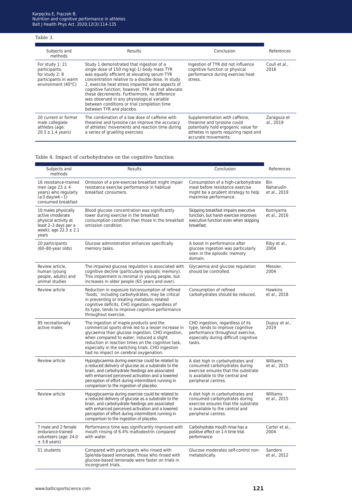#### Table 3.

| Subjects and<br>methods                                                                          | Results                                                                                                                                                                                                                                                                                                                                                                                                                                                                        | Conclusion                                                                                                                                                             | References               |
|--------------------------------------------------------------------------------------------------|--------------------------------------------------------------------------------------------------------------------------------------------------------------------------------------------------------------------------------------------------------------------------------------------------------------------------------------------------------------------------------------------------------------------------------------------------------------------------------|------------------------------------------------------------------------------------------------------------------------------------------------------------------------|--------------------------|
| For study 1: 21<br>participants;<br>for study 2: 8<br>participants in warm<br>environment (40°C) | Study 1 demonstrated that ingestion of a<br>single dose of 150 mg·kg(-1) body mass TYR<br>was equally efficient at elevating serum TYR<br>concentration relative to a double dose. In study<br>2, exercise heat stress impaired some aspects of<br>cognitive function: however. TYR did not alleviate<br>these decrements. Furthermore, no difference<br>was observed in any physiological variable<br>between conditions or trial completion time<br>between TYR and placebo. | Ingestion of TYR did not influence<br>cognitive function or physical<br>performance during exercise heat<br>stress.                                                    | Coull et al<br>2016      |
| 20 current or former<br>male collegiate<br>athletes (age:<br>$20.5 \pm 1.4$ years)               | The combination of a low dose of caffeine with<br>theanine and tyrosine can improve the accuracy<br>of athletes' movements and reaction time during<br>a series of gruelling exercises                                                                                                                                                                                                                                                                                         | Supplementation with caffeine,<br>theanine and tyrosine could<br>potentially hold ergogenic value for<br>athletes in sports requiring rapid and<br>accurate movements. | Zaragoza et<br>al., 2019 |

#### Table 4. Impact of carbohydrates on the cognitive function

| Subjects and<br>methods                                                                                                       | Results                                                                                                                                                                                                                                                                                                                                             | Conclusion                                                                                                                                                         | References                                     |
|-------------------------------------------------------------------------------------------------------------------------------|-----------------------------------------------------------------------------------------------------------------------------------------------------------------------------------------------------------------------------------------------------------------------------------------------------------------------------------------------------|--------------------------------------------------------------------------------------------------------------------------------------------------------------------|------------------------------------------------|
| 16 resistance-trained<br>men (age $23 \pm 4$<br>years) who regularly<br>$(\geq 3 \text{ day/wk}-1)$<br>consumed breakfast     | Omission of a pre-exercise breakfast might impair<br>resistance exercise performance in habitual<br>breakfast consumers.                                                                                                                                                                                                                            | Consumption of a high-carbohydrate<br>meal before resistance exercise<br>might be a prudent strategy to help<br>maximise performance.                              | <b>Bin</b><br><b>Naharudin</b><br>et al., 2019 |
| 10 males physically<br>active (moderate<br>physical activity at<br>least 2-3 days per a<br>week); age $22.3 \pm 2.1$<br>years | Blood glucose concentration was significantly<br>lower during exercise in the breakfast<br>consumption condition than those in the breakfast<br>omission condition.                                                                                                                                                                                 | Skipping breakfast impairs executive<br>function, but harsh exercise improves<br>executive function even when skipping<br>breakfast.                               | Komiyama<br>et al., 2016                       |
| 20 participants<br>(60-80-year olds)                                                                                          | Glucose administration enhances specifically<br>memory tasks.                                                                                                                                                                                                                                                                                       | A boost in performance after<br>glucose ingestion was particularly<br>seen in the episodic memory<br>domain.                                                       | Riby et al.,<br>2004                           |
| Review article,<br>human (young<br>people, adults) and<br>animal studies                                                      | The impaired glucose regulation is associated with<br>cognitive decline (particularly episodic memory).<br>This impairment is minimal in young people, but<br>increases in older people (65 years and over).                                                                                                                                        | Glycaemia and glucose regulation<br>should be controlled.                                                                                                          | Messier,<br>2004                               |
| Review article                                                                                                                | Reduction in exposure to/consumption of refined<br>'foods,' including carbohydrates, may be critical<br>in preventing or treating metabolic-related<br>cognitive deficits. CHO ingestion, regardless of<br>its type, tends to improve cognitive performance<br>throughout exercise.                                                                 | Consumption of refined<br>carbohydrates should be reduced.                                                                                                         | <b>Hawkins</b><br>et al., 2018                 |
| 85 recreationally<br>active males                                                                                             | The ingestion of maple products and the<br>commercial sports drink led to a lesser increase in<br>glycaemia than glucose ingestion. CHO ingestion,<br>when compared to water, induced a slight<br>reduction in reaction times on the cognitive task,<br>especially in the switching trials. CHO ingestion<br>had no impact on cerebral oxygenation. | CHO ingestion, regardless of its<br>type, tends to improve cognitive<br>performance throughout exercise,<br>especially during difficult cognitive<br>tasks.        | Dupuy et al.,<br>2019                          |
| Review article                                                                                                                | Hypoglycaemia during exercise could be related to<br>a reduced delivery of glucose as a substrate to the<br>brain, and carbohydrate feedings are associated<br>with enhanced perceived activation and a lowered<br>perception of effort during intermittent running in<br>comparison to the ingestion of placebo.                                   | A diet high in carbohydrates and<br>consumed carbohydrates during<br>exercise ensures that the substrate<br>is available to the central and<br>peripheral centres. | Williams<br>et al., 2015                       |
| Review article                                                                                                                | Hypoglycaemia during exercise could be related to<br>a reduced delivery of glucose as a substrate to the<br>brain, and carbohydrate feedings are associated<br>with enhanced perceived activation and a lowered<br>perception of effort during intermittent running in<br>comparison to the ingestion of placebo.                                   | A diet high in carbohydrates and<br>consumed carbohydrates during<br>exercise ensures that the substrate<br>is available to the central and<br>peripheral centres. | Williams<br>et al., 2015                       |
| 7 male and 2 female<br>endurance-trained<br>volunteers (age: 24.0)<br>$±$ 3.8 years)                                          | Performance time was significantly improved with<br>mouth rinsing of 6.4% maltodextrin compared<br>with water.                                                                                                                                                                                                                                      | Carbohydrate mouth rinse has a<br>positive effect on 1-h time trial<br>performance.                                                                                | Carter et al<br>2004                           |
| 51 students                                                                                                                   | Compared with participants who rinsed with<br>Splenda-based lemonade, those who rinsed with<br>glucose-based lemonade were faster on trials in<br>incongruent trials.                                                                                                                                                                               | Glucose moderates self-control non-<br>metabolically.                                                                                                              | <b>Sanders</b><br>et al., 2012                 |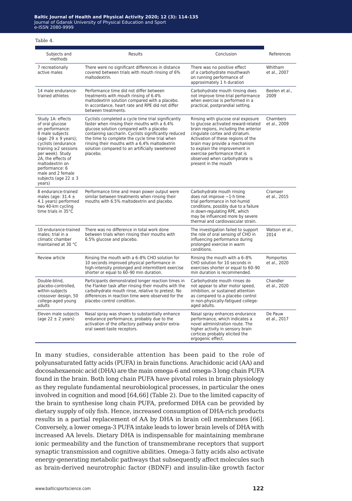Table 4.

| Subjects and<br>methods                                                                                                                                                                                                                                                                               | Results                                                                                                                                                                                                                                                                                                                                                                  | Conclusion                                                                                                                                                                                                                                                                                                                                            | References                |
|-------------------------------------------------------------------------------------------------------------------------------------------------------------------------------------------------------------------------------------------------------------------------------------------------------|--------------------------------------------------------------------------------------------------------------------------------------------------------------------------------------------------------------------------------------------------------------------------------------------------------------------------------------------------------------------------|-------------------------------------------------------------------------------------------------------------------------------------------------------------------------------------------------------------------------------------------------------------------------------------------------------------------------------------------------------|---------------------------|
| 7 recreationally<br>active males                                                                                                                                                                                                                                                                      | There were no significant differences in distance<br>covered between trials with mouth rinsing of 6%<br>maltodextrin.                                                                                                                                                                                                                                                    | There was no positive effect<br>of a carbohydrate mouthwash<br>on running performance of<br>approximately 1 h duration                                                                                                                                                                                                                                | Whitham<br>et al., 2007   |
| 14 male endurance-<br>trained athletes                                                                                                                                                                                                                                                                | Performance time did not differ between<br>treatments with mouth rinsing of 6.4%<br>maltodextrin solution compared with a placebo.<br>In accordance, heart rate and RPE did not differ<br>between treatments.                                                                                                                                                            | Carbohydrate mouth rinsing does<br>not improve time-trial performance<br>when exercise is performed in a<br>practical, postprandial setting.                                                                                                                                                                                                          | Beelen et al.,<br>2009    |
| Study 1A: effects<br>of oral glucose<br>on performance:<br>8 male subjects<br>(age: $29 \pm 9$ years);<br>cyclists (endurance<br>training $\geq$ 2 sessions<br>per week). Study<br>2A, the effects of<br>maltodextrin on<br>performance: 6<br>male and 2 female<br>subjects (age $22 \pm 3$<br>years) | Cyclists completed a cycle time trial significantly<br>faster when rinsing their mouths with a 6.4%<br>glucose solution compared with a placebo<br>containing saccharin. Cyclists significantly reduced<br>the time to complete the cycle time trial when<br>rinsing their mouths with a 6.4% maltodextrin<br>solution compared to an artificially sweetened<br>placebo. | Rinsing with glucose oral exposure<br>to glucose activated reward-related<br>brain regions, including the anterior<br>cingulate cortex and striatum.<br>Activation of these regions of the<br>brain may provide a mechanism<br>to explain the improvement in<br>exercise performance that is<br>observed when carbohydrate is<br>present in the mouth | Chambers<br>et al., 2009  |
| 8 endurance-trained<br>males (age: $31.4 \pm$<br>4.1 years) performed<br>two 40-km cycling<br>time trials in 35°C                                                                                                                                                                                     | Performance time and mean power output were<br>similar between treatments when rinsing their<br>mouths with 6.5% maltodextrin and placebo.                                                                                                                                                                                                                               | Carbohydrate mouth rinsing<br>does not improve $\sim$ 1-h time<br>trial performance in hot-humid<br>conditions, possibly due to a failure<br>in down-regulating RPE, which<br>may be influenced more by severe<br>thermal and cardiovascular strain.                                                                                                  | Cramaer<br>et al., 2015   |
| 10 endurance-trained<br>males: trial in a<br>climatic chamber<br>maintained at 30 °C                                                                                                                                                                                                                  | There was no difference in total work done<br>between trials when rinsing their mouths with<br>6.5% glucose and placebo.                                                                                                                                                                                                                                                 | The investigation failed to support<br>the role of oral sensing of CHO in<br>influencing performance during<br>prolonged exercise in warm<br>conditions.                                                                                                                                                                                              | Watson et al.,<br>2014    |
| Review article                                                                                                                                                                                                                                                                                        | Rinsing the mouth with a 6-8% CHO solution for<br>10 seconds improved physical performance in<br>high-intensity prolonged and intermittent exercise<br>shorter or equal to 60-90 min duration.                                                                                                                                                                           | Rinsing the mouth with a 6-8%<br>CHO solution for 10 seconds in<br>exercises shorter or equal to 60-90<br>min duration is recommended.                                                                                                                                                                                                                | Pomportes<br>et al., 2020 |
| Double-blind.<br>placebo-controlled,<br>within-subjects<br>crossover design, 50<br>college-aged young<br>adults                                                                                                                                                                                       | Participants demonstrated longer reaction times in<br>the Flanker task after rinsing their mouths with the<br>carbohydrate mouth rinse, relative to pretest. No<br>differences in reaction time were observed for the<br>placebo control condition.                                                                                                                      | Carbohydrate mouth rinses do<br>not appear to alter motor speed,<br>inhibition, or sustained attention<br>as compared to a placebo control<br>in non-physically-fatigued college-<br>aged adults.                                                                                                                                                     | Chandler<br>et al., 2020  |
| Eleven male subjects<br>(age $22 \pm 2$ years)                                                                                                                                                                                                                                                        | Nasal spray was shown to substantially enhance<br>endurance performance, probably due to the<br>activation of the olfactory pathway and/or extra-<br>oral sweet-taste receptors.                                                                                                                                                                                         | Nasal spray enhances endurance<br>performance, which indicates a<br>novel administration route. The<br>higher activity in sensory brain<br>cortices probably elicited the<br>ergogenic effect.                                                                                                                                                        | De Pauw<br>et al., 2017   |

In many studies, considerable attention has been paid to the role of polyunsaturated fatty acids (PUFA) in brain functions. Arachidonic acid (AA) and docosahexaenoic acid (DHA) are the main omega-6 and omega-3 long chain PUFA found in the brain. Both long chain PUFA have pivotal roles in brain physiology as they regulate fundamental neurobiological processes, in particular the ones involved in cognition and mood [64,66] (Table 2). Due to the limited capacity of the brain to synthesise long chain PUFA, preformed DHA can be provided by dietary supply of oily fish. Hence, increased consumption of DHA-rich products results in a partial replacement of AA by DHA in brain cell membranes [66]. Conversely, a lower omega-3 PUFA intake leads to lower brain levels of DHA with increased AA levels. Dietary DHA is indispensable for maintaining membrane ionic permeability and the function of transmembrane receptors that support synaptic transmission and cognitive abilities. Omega-3 fatty acids also activate energy-generating metabolic pathways that subsequently affect molecules such as brain-derived neurotrophic factor (BDNF) and insulin-like growth factor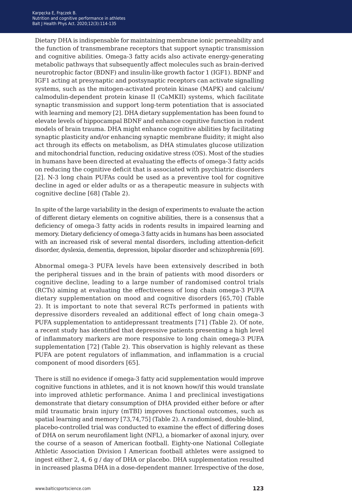Dietary DHA is indispensable for maintaining membrane ionic permeability and the function of transmembrane receptors that support synaptic transmission and cognitive abilities. Omega-3 fatty acids also activate energy-generating metabolic pathways that subsequently affect molecules such as brain-derived neurotrophic factor (BDNF) and insulin-like growth factor 1 (IGF1). BDNF and IGF1 acting at presynaptic and postsynaptic receptors can activate signalling systems, such as the mitogen-activated protein kinase (MAPK) and calcium/ calmodulin-dependent protein kinase II (CaMKII) systems, which facilitate synaptic transmission and support long-term potentiation that is associated with learning and memory [2]. DHA dietary supplementation has been found to elevate levels of hippocampal BDNF and enhance cognitive function in rodent models of brain trauma. DHA might enhance cognitive abilities by facilitating synaptic plasticity and/or enhancing synaptic membrane fluidity; it might also act through its effects on metabolism, as DHA stimulates glucose utilization and mitochondrial function, reducing oxidative stress (OS). Most of the studies in humans have been directed at evaluating the effects of omega-3 fatty acids on reducing the cognitive deficit that is associated with psychiatric disorders [2]. N-3 long chain PUFAs could be used as a preventive tool for cognitive decline in aged or elder adults or as a therapeutic measure in subjects with cognitive decline [68] (Table 2).

In spite of the large variability in the design of experiments to evaluate the action of different dietary elements on cognitive abilities, there is a consensus that a deficiency of omega‑3 fatty acids in rodents results in impaired learning and memory. Dietary deficiency of omega‑3 fatty acids in humans has been associated with an increased risk of several mental disorders, including attention-deficit disorder, dyslexia, dementia, depression, bipolar disorder and schizophrenia [69].

Abnormal omega-3 PUFA levels have been extensively described in both the peripheral tissues and in the brain of patients with mood disorders or cognitive decline, leading to a large number of randomised control trials (RCTs) aiming at evaluating the effectiveness of long chain omega-3 PUFA dietary supplementation on mood and cognitive disorders [65,70] (Table 2). It is important to note that several RCTs performed in patients with depressive disorders revealed an additional effect of long chain omega-3 PUFA supplementation to antidepressant treatments [71] (Table 2). Of note, a recent study has identified that depressive patients presenting a high level of inflammatory markers are more responsive to long chain omega-3 PUFA supplementation [72] (Table 2). This observation is highly relevant as these PUFA are potent regulators of inflammation, and inflammation is a crucial component of mood disorders [65].

There is still no evidence if omega-3 fatty acid supplementation would improve cognitive functions in athletes, and it is not known how/if this would translate into improved athletic performance. Anima l and preclinical investigations demonstrate that dietary consumption of DHA provided either before or after mild traumatic brain injury (mTBI) improves functional outcomes, such as spatial learning and memory [73,74,75] (Table 2). A randomised, double-blind, placebo-controlled trial was conducted to examine the effect of differing doses of DHA on serum neurofilament light (NFL), a biomarker of axonal injury, over the course of a season of American football. Eighty-one National Collegiate Athletic Association Division I American football athletes were assigned to ingest either 2, 4, 6 g / day of DHA or placebo. DHA supplementation resulted in increased plasma DHA in a dose-dependent manner. Irrespective of the dose,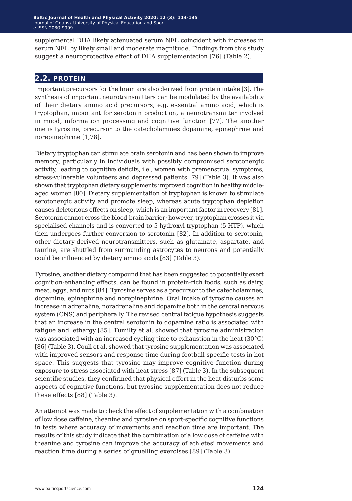supplemental DHA likely attenuated serum NFL coincident with increases in serum NFL by likely small and moderate magnitude. Findings from this study suggest a neuroprotective effect of DHA supplementation [76] (Table 2).

### **2.2. protein**

Important precursors for the brain are also derived from protein intake [3]. The synthesis of important neurotransmitters can be modulated by the availability of their dietary amino acid precursors, e.g. essential amino acid, which is tryptophan, important for serotonin production, a neurotransmitter involved in mood, information processing and cognitive function [77]. The another one is tyrosine, precursor to the catecholamines dopamine, epinephrine and norepinephrine [1,78].

Dietary tryptophan can stimulate brain serotonin and has been shown to improve memory, particularly in individuals with possibly compromised serotonergic activity, leading to cognitive deficits, i.e., women with premenstrual symptoms, stress-vulnerable volunteers and depressed patients [79] (Table 3). It was also shown that tryptophan dietary supplements improved cognition in healthy middleaged women [80]. Dietary supplementation of tryptophan is known to stimulate serotonergic activity and promote sleep, whereas acute tryptophan depletion causes deleterious effects on sleep, which is an important factor in recovery [81]. Serotonin cannot cross the blood-brain barrier; however, tryptophan crosses it via specialised channels and is converted to 5-hydroxyl-tryptophan (5-HTP), which then undergoes further conversion to serotonin [82]. In addition to serotonin, other dietary-derived neurotransmitters, such as glutamate, aspartate, and taurine, are shuttled from surrounding astrocytes to neurons and potentially could be influenced by dietary amino acids [83] (Table 3).

Tyrosine, another dietary compound that has been suggested to potentially exert cognition-enhancing effects, can be found in protein-rich foods, such as dairy, meat, eggs, and nuts [84]. Tyrosine serves as a precursor to the catecholamines, dopamine, epinephrine and norepinephrine. Oral intake of tyrosine causes an increase in adrenaline, noradrenaline and dopamine both in the central nervous system (CNS) and peripherally. The revised central fatigue hypothesis suggests that an increase in the central serotonin to dopamine ratio is associated with fatigue and lethargy [85]. Tumilty et al. showed that tyrosine administration was associated with an increased cycling time to exhaustion in the heat (30°C) [86] (Table 3). Coull et al. showed that tyrosine supplementation was associated with improved sensors and response time during football-specific tests in hot space. This suggests that tyrosine may improve cognitive function during exposure to stress associated with heat stress [87] (Table 3). In the subsequent scientific studies, they confirmed that physical effort in the heat disturbs some aspects of cognitive functions, but tyrosine supplementation does not reduce these effects [88] (Table 3).

An attempt was made to check the effect of supplementation with a combination of low dose caffeine, theanine and tyrosine on sport-specific cognitive functions in tests where accuracy of movements and reaction time are important. The results of this study indicate that the combination of a low dose of caffeine with theanine and tyrosine can improve the accuracy of athletes' movements and reaction time during a series of gruelling exercises [89] (Table 3).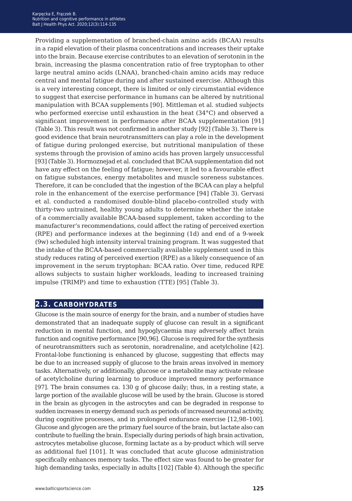Providing a supplementation of branched-chain amino acids (BCAA) results in a rapid elevation of their plasma concentrations and increases their uptake into the brain. Because exercise contributes to an elevation of serotonin in the brain, increasing the plasma concentration ratio of free tryptophan to other large neutral amino acids (LNAA), branched-chain amino acids may reduce central and mental fatigue during and after sustained exercise. Although this is a very interesting concept, there is limited or only circumstantial evidence to suggest that exercise performance in humans can be altered by nutritional manipulation with BCAA supplements [90]. Mittleman et al. studied subjects who performed exercise until exhaustion in the heat (34°C) and observed a significant improvement in performance after BCAA supplementation [91] (Table 3). This result was not confirmed in another study [92] (Table 3). There is good evidence that brain neurotransmitters can play a role in the development of fatigue during prolonged exercise, but nutritional manipulation of these systems through the provision of amino acids has proven largely unsuccessful [93] (Table 3). Hormoznejad et al. concluded that BCAA supplementation did not have any effect on the feeling of fatigue; however, it led to a favourable effect on fatigue substances, energy metabolites and muscle soreness substances. Therefore, it can be concluded that the ingestion of the BCAA can play a helpful role in the enhancement of the exercise performance [94] (Table 3). Gervasi et al. conducted a randomised double-blind placebo-controlled study with thirty-two untrained, healthy young adults to determine whether the intake of a commercially available BCAA-based supplement, taken according to the manufacturer's recommendations, could affect the rating of perceived exertion (RPE) and performance indexes at the beginning (1d) and end of a 9-week (9w) scheduled high intensity interval training program. It was suggested that the intake of the BCAA-based commercially available supplement used in this study reduces rating of perceived exertion (RPE) as a likely consequence of an improvement in the serum tryptophan: BCAA ratio. Over time, reduced RPE allows subjects to sustain higher workloads, leading to increased training impulse (TRIMP) and time to exhaustion (TTE) [95] (Table 3).

# **2.3. carbohydrates**

Glucose is the main source of energy for the brain, and a number of studies have demonstrated that an inadequate supply of glucose can result in a significant reduction in mental function, and hypoglycaemia may adversely affect brain function and cognitive performance [90,96]. Glucose is required for the synthesis of neurotransmitters such as serotonin, noradrenaline, and acetylcholine [42]. Frontal-lobe functioning is enhanced by glucose, suggesting that effects may be due to an increased supply of glucose to the brain areas involved in memory tasks. Alternatively, or additionally, glucose or a metabolite may activate release of acetylcholine during learning to produce improved memory performance [97]. The brain consumes ca. 130 g of glucose daily; thus, in a resting state, a large portion of the available glucose will be used by the brain. Glucose is stored in the brain as glycogen in the astrocytes and can be degraded in response to sudden increases in energy demand such as periods of increased neuronal activity, during cognitive processes, and in prolonged endurance exercise [12,98*−*100]. Glucose and glycogen are the primary fuel source of the brain, but lactate also can contribute to fuelling the brain. Especially during periods of high brain activation, astrocytes metabolise glucose, forming lactate as a by-product which will serve as additional fuel [101]. It was concluded that acute glucose administration specifically enhances memory tasks. The effect size was found to be greater for high demanding tasks, especially in adults [102] (Table 4). Although the specific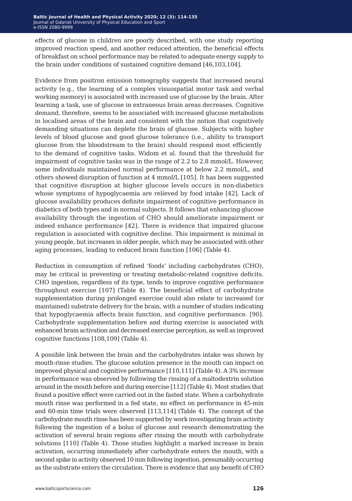effects of glucose in children are poorly described, with one study reporting improved reaction speed, and another reduced attention, the beneficial effects of breakfast on school performance may be related to adequate energy supply to the brain under conditions of sustained cognitive demand [46,103,104].

Evidence from positron emission tomography suggests that increased neural activity (e.g., the learning of a complex visuospatial motor task and verbal working memory) is associated with increased use of glucose by the brain. After learning a task, use of glucose in extraneous brain areas decreases. Cognitive demand, therefore, seems to be associated with increased glucose metabolism in localised areas of the brain and consistent with the notion that cognitively demanding situations can deplete the brain of glucose. Subjects with higher levels of blood glucose and good glucose tolerance (i.e., ability to transport glucose from the bloodstream to the brain) should respond most efficiently to the demand of cognitive tasks. Widom et al. found that the threshold for impairment of cognitive tasks was in the range of 2.2 to 2.8 mmol/L. However, some individuals maintained normal performance at below 2.2 mmol/L, and others showed disruption of function at 4 mmol/L [105]. It has been suggested that cognitive disruption at higher glucose levels occurs in non-diabetics whose symptoms of hypoglycaemia are relieved by food intake [42]. Lack of glucose availability produces definite impairment of cognitive performance in diabetics of both types and in normal subjects. It follows that enhancing glucose availability through the ingestion of CHO should ameliorate impairment or indeed enhance performance [42]. There is evidence that impaired glucose regulation is associated with cognitive decline. This impairment is minimal in young people, but increases in older people, which may be associated with other aging processes, leading to reduced brain function [106] (Table 4).

Reduction in consumption of refined 'foods' including carbohydrates (CHO), may be critical in preventing or treating metabolic-related cognitive deficits. CHO ingestion, regardless of its type, tends to improve cognitive performance throughout exercise [107] (Table 4). The beneficial effect of carbohydrate supplementation during prolonged exercise could also relate to increased (or maintained) substrate delivery for the brain, with a number of studies indicating that hypoglycaemia affects brain function, and cognitive performance. [90]. Carbohydrate supplementation before and during exercise is associated with enhanced brain activation and decreased exercise perception, as well as improved cognitive functions [108,109] (Table 4).

A possible link between the brain and the carbohydrates intake was shown by mouth-rinse studies. The glucose solution presence in the mouth can impact on improved physical and cognitive performance [110,111] (Table 4). A 3% increase in performance was observed by following the rinsing of a maltodextrin solution around in the mouth before and during exercise [112] (Table 4). Most studies that found a positive effect were carried out in the fasted state. When a carbohydrate mouth rinse was performed in a fed state, no effect on performance in 45-min and 60-min time trials were observed [113,114] (Table 4). The concept of the carbohydrate mouth rinse has been supported by work investigating brain activity following the ingestion of a bolus of glucose and research demonstrating the activation of several brain regions after rinsing the mouth with carbohydrate solutions [110] (Table 4). Those studies highlight a marked increase in brain activation, occurring immediately after carbohydrate enters the mouth, with a second spike in activity observed 10 min following ingestion, presumably occurring as the substrate enters the circulation. There is evidence that any benefit of CHO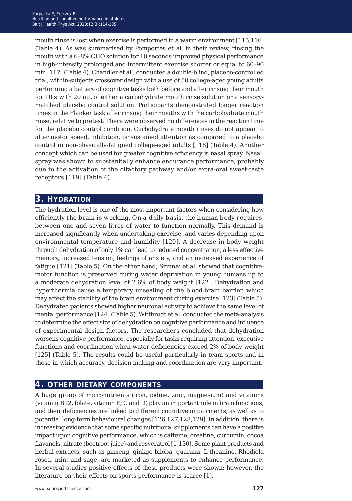mouth rinse is lost when exercise is performed in a warm environment [115,116] (Table 4). As was summarised by Pomportes et al. in their review, rinsing the mouth with a 6–8% CHO solution for 10 seconds improved physical performance in high-intensity prolonged and intermittent exercise shorter or equal to 60–90 min [117] (Table 4). Chandler et al., conducted a double-blind, placebo-controlled trial, within-subjects crossover design with a use of 50 college-aged young adults performing a battery of cognitive tasks both before and after rinsing their mouth for 10 s with 20 mL of either a carbohydrate mouth rinse solution or a sensorymatched placebo control solution. Participants demonstrated longer reaction times in the Flanker task after rinsing their mouths with the carbohydrate mouth rinse, relative to pretest. There were observed no differences in the reaction time for the placebo control condition. Carbohydrate mouth rinses do not appear to alter motor speed, inhibition, or sustained attention as compared to a placebo control in non-physically-fatigued college-aged adults [118] (Table 4). Another concept which can be used for greater cognitive efficiency is nasal spray. Nasal spray was shown to substantially enhance endurance performance, probably due to the activation of the olfactory pathway and/or extra-oral sweet-taste receptors [119] (Table 4).

# **3. hydration**

The hydration level is one of the most important factors when considering how efficiently the brain is working. On a daily basis, the human body requires between one and seven litres of water to function normally. This demand is increased significantly when undertaking exercise, and varies depending upon environmental temperature and humidity [120]. A decrease in body weight through dehydration of only 1% can lead to reduced concentration, a less effective memory, increased tension, feelings of anxiety, and an increased experience of fatigue [121] (Table 5). On the other hand, Szinnai et al. showed that cognitivemotor function is preserved during water deprivation in young humans up to a moderate dehydration level of 2.6% of body weight [122]. Dehydration and hyperthermia cause a temporary unsealing of the blood-brain barrier, which may affect the stability of the brain environment during exercise [123] (Table 5). Dehydrated patients showed higher neuronal activity to achieve the same level of mental performance [124] (Table 5). Wittbrodt et al. conducted the meta-analysis to determine the effect size of dehydration on cognitive performance and influence of experimental design factors. The researchers concluded that dehydration worsens cognitive performance, especially for tasks requiring attention, executive functions and coordination when water deficiencies exceed 2% of body weight [125] (Table 5). The results could be useful particularly in team sports and in those in which accuracy, decision making and coordination are very important.

# **4. other dietary components**

A huge group of micronutrients (iron, iodine, zinc, magnesium) and vitamins (vitamin B12, folate, vitamin E, C and D) play an important role in brain functions, and their deficiencies are linked to different cognitive impairments, as well as to potential long-term behavioural changes [126,127,128,129]. In addition, there is increasing evidence that some specific nutritional supplements can have a positive impact upon cognitive performance, which is caffeine, creatine, curcumin, cocoa flavanols, nitrate (beetroot juice) and resveratrol [1,130]. Some plant products and herbal extracts, such as ginseng, ginkgo biloba, guarana, L-theanine, Rhodiola rosea, mint and sage, are marketed as supplements to enhance performance. In several studies positive effects of these products were shown; however, the literature on their effects on sports performance is scarce [1].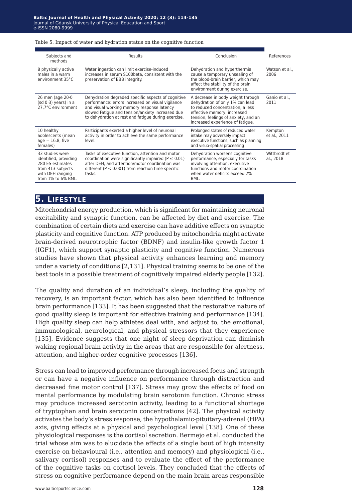#### Table 5. Impact of water and hydration status on the cognitive function

| Subjects and<br>methods                                                                                                     | Results                                                                                                                                                                                                                                                          | Conclusion                                                                                                                                                                                                          | References                |
|-----------------------------------------------------------------------------------------------------------------------------|------------------------------------------------------------------------------------------------------------------------------------------------------------------------------------------------------------------------------------------------------------------|---------------------------------------------------------------------------------------------------------------------------------------------------------------------------------------------------------------------|---------------------------|
| 8 physically active<br>males in a warm<br>environment 35°C                                                                  | Water ingestion can limit exercise-induced<br>increases in serum S100beta, consistent with the<br>preservation of BBB integrity.                                                                                                                                 | Dehydration and hyperthermia<br>cause a temporary unsealing of<br>the blood-brain barrier, which may<br>affect the stability of the brain<br>environment during exercise.                                           | Watson et al<br>2006      |
| 26 men (age $20.0$<br>$(sd 0.3)$ years) in a<br>27.7°C environment                                                          | Dehydration degraded specific aspects of cognitive<br>performance: errors increased on visual vigilance<br>and visual working memory response latency<br>slowed Fatique and tension/anxiety increased due<br>to dehydration at rest and fatique during exercise. | A decrease in body weight through<br>dehydration of only 1% can lead<br>to reduced concentration, a less<br>effective memory, increased<br>tension, feelings of anxiety, and an<br>increased experience of fatique. | Ganio et al.,<br>2011     |
| 10 healthy<br>adolescents (mean<br>$age = 16.8$ , five<br>females)                                                          | Participants exerted a higher level of neuronal<br>activity in order to achieve the same performance<br>level.                                                                                                                                                   | Prolonged states of reduced water<br>intake may adversely impact<br>executive functions, such as planning<br>and visuo-spatial processing                                                                           | Kempton<br>et al., 2011   |
| 33 studies were<br>identified, providing<br>280 ES estimates<br>from 413 subjects<br>with DEH ranging<br>from 1% to 6% BML. | Tasks of executive function, attention and motor<br>coordination were significantly impaired ( $P \le 0.01$ )<br>after DEH, and attention/motor coordination was<br>different ( $P < 0.001$ ) from reaction time specific<br>tasks.                              | Dehydration worsens cognitive<br>performance, especially for tasks<br>involving attention, executive<br>functions and motor coordination<br>when water deficits exceed 2%<br>BML.                                   | Witthrodt et<br>al., 2018 |

### **5. lifestyle**

Mitochondrial energy production, which is significant for maintaining neuronal excitability and synaptic function, can be affected by diet and exercise. The combination of certain diets and exercise can have additive effects on synaptic plasticity and cognitive function. ATP produced by mitochondria might activate brain-derived neurotrophic factor (BDNF) and insulin-like growth factor 1 (IGF1), which support synaptic plasticity and cognitive function. Numerous studies have shown that physical activity enhances learning and memory under a variety of conditions [2,131]. Physical training seems to be one of the best tools in a possible treatment of cognitively impaired elderly people [132].

The quality and duration of an individual's sleep, including the quality of recovery, is an important factor, which has also been identified to influence brain performance [133]. It has been suggested that the restorative nature of good quality sleep is important for effective training and performance [134]. High quality sleep can help athletes deal with, and adjust to, the emotional, immunological, neurological, and physical stressors that they experience [135]. Evidence suggests that one night of sleep deprivation can diminish waking regional brain activity in the areas that are responsible for alertness, attention, and higher-order cognitive processes [136].

Stress can lead to improved performance through increased focus and strength or can have a negative influence on performance through distraction and decreased fine motor control [137]. Stress may grow the effects of food on mental performance by modulating brain serotonin function. Chronic stress may produce increased serotonin activity, leading to a functional shortage of tryptophan and brain serotonin concentrations [42]. The physical activity activates the body's stress response, the hypothalamic-pituitary-adrenal (HPA) axis, giving effects at a physical and psychological level [138]. One of these physiological responses is the cortisol secretion. Bermejo et al. conducted the trial whose aim was to elucidate the effects of a single bout of high intensity exercise on behavioural (i.e., attention and memory) and physiological (i.e., salivary cortisol) responses and to evaluate the effect of the performance of the cognitive tasks on cortisol levels. They concluded that the effects of stress on cognitive performance depend on the main brain areas responsible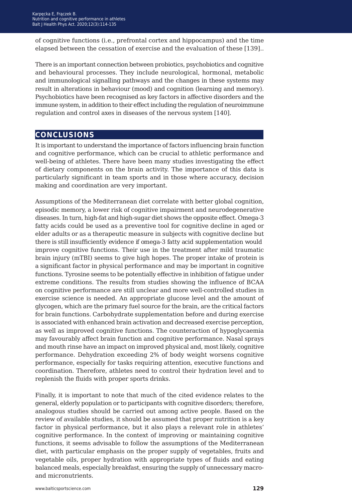of cognitive functions (i.e., prefrontal cortex and hippocampus) and the time elapsed between the cessation of exercise and the evaluation of these [139]..

There is an important connection between probiotics, psychobiotics and cognitive and behavioural processes. They include neurological, hormonal, metabolic and immunological signalling pathways and the changes in these systems may result in alterations in behaviour (mood) and cognition (learning and memory). Psychobiotics have been recognised as key factors in affective disorders and the immune system, in addition to their effect including the regulation of neuroimmune regulation and control axes in diseases of the nervous system [140].

# **conclusions**

It is important to understand the importance of factors influencing brain function and cognitive performance, which can be crucial to athletic performance and well-being of athletes. There have been many studies investigating the effect of dietary components on the brain activity. The importance of this data is particularly significant in team sports and in those where accuracy, decision making and coordination are very important.

Assumptions of the Mediterranean diet correlate with better global cognition, episodic memory, a lower risk of cognitive impairment and neurodegenerative diseases. In turn, high-fat and high-sugar diet shows the opposite effect. Omega-3 fatty acids could be used as a preventive tool for cognitive decline in aged or elder adults or as a therapeutic measure in subjects with cognitive decline but there is still insufficiently evidence if omega-3 fatty acid supplementation would improve cognitive functions. Their use in the treatment after mild traumatic brain injury (mTBI) seems to give high hopes. The proper intake of protein is a significant factor in physical performance and may be important in cognitive functions. Tyrosine seems to be potentially effective in inhibition of fatigue under extreme conditions. The results from studies showing the influence of BCAA on cognitive performance are still unclear and more well-controlled studies in exercise science is needed. An appropriate glucose level and the amount of glycogen, which are the primary fuel source for the brain, are the critical factors for brain functions. Carbohydrate supplementation before and during exercise is associated with enhanced brain activation and decreased exercise perception, as well as improved cognitive functions. The counteraction of hypoglycaemia may favourably affect brain function and cognitive performance. Nasal sprays and mouth rinse have an impact on improved physical and, most likely, cognitive performance. Dehydration exceeding 2% of body weight worsens cognitive performance, especially for tasks requiring attention, executive functions and coordination. Therefore, athletes need to control their hydration level and to replenish the fluids with proper sports drinks.

Finally, it is important to note that much of the cited evidence relates to the general, elderly population or to participants with cognitive disorders; therefore, analogous studies should be carried out among active people. Based on the review of available studies, it should be assumed that proper nutrition is a key factor in physical performance, but it also plays a relevant role in athletes' cognitive performance. In the context of improving or maintaining cognitive functions, it seems advisable to follow the assumptions of the Mediterranean diet, with particular emphasis on the proper supply of vegetables, fruits and vegetable oils, proper hydration with appropriate types of fluids and eating balanced meals, especially breakfast, ensuring the supply of unnecessary macroand micronutrients.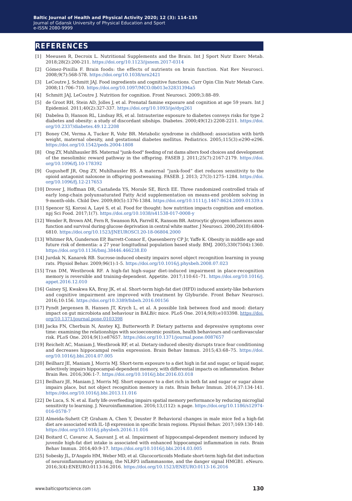### **references**

- [1] Meeusen R, Decroix L. Nutritional Supplements and the Brain. Int J Sport Nutr Exerc Metab. 2018;28(2):200-211. <https://doi.org/10.1123/ijsnem.2017-0314>
- [2] Gómez-Pinilla F. Brain foods: the effects of nutrients on brain function. Nat Rev Neurosci. 2008;9(7):568-578.<https://doi.org/10.1038/nrn2421>
- [3] LeCoutre J, Schmitt JAJ. Food ingredients and cognitive functions. Curr Opin Clin Nutr Metab Care. 2008;11:706–710. <https://doi.org/10.1097/MCO.0b013e32831394a5>
- [4] Schmitt JAJ, LeCoutre J. Nutrition for cognition. Front Neurosci. 2009;3:88–89.
- [5] de Groot RH, Stein AD, Jolles J, et al. Prenatal famine exposure and cognition at age 59 years. Int J Epidemiol. 2011;40(2):327-337. <https://doi.org/10.1093/ije/dyq261>
- [6] Dabelea D, Hanson RL, Lindsay RS, et al. Intrauterine exposure to diabetes conveys risks for type 2 diabetes and obesity: a study of discordant sibships. Diabetes. 2000;49(12):2208-2211. [https://doi.](https://doi.org/10.2337/diabetes.49.12.2208) [org/10.2337/diabetes.49.12.2208](https://doi.org/10.2337/diabetes.49.12.2208)
- [7] Boney CM, Verma A, Tucker R, Vohr BR. Metabolic syndrome in childhood: association with birth weight, maternal obesity, and gestational diabetes mellitus. Pediatrics. 2005;115(3):e290-e296. <https://doi.org/10.1542/peds.2004-1808>
- [8] Ong ZY, Muhlhausler BS. Maternal "junk-food" feeding of rat dams alters food choices and development of the mesolimbic reward pathway in the offspring. FASEB J. 2011;25(7):2167-2179. [https://doi.](https://doi.org/10.1096/fj.10-178392) [org/10.1096/fj.10-178392](https://doi.org/10.1096/fj.10-178392)
- [9] Gugusheff JR, Ong ZY, Muhlhausler BS. A maternal "junk-food" diet reduces sensitivity to the opioid antagonist naloxone in offspring postweaning. FASEB. J. 2013; 27(3):1275–1284. [https://doi.](https://doi.org/10.1096/fj.12-217653) [org/10.1096/fj.12-217653](https://doi.org/10.1096/fj.12-217653)
- [10] Drover J, Hoffman DR, Castañeda YS, Morale SE, Birch EE. Three randomized controlled trials of early long-chain polyunsaturated Fatty Acid supplementation on means-end problem solving in 9-month-olds. Child Dev. 2009;80(5):1376-1384. [https://doi.org/10.1111/j.1467-8624.2009.01339.x](https://doi.org/10.1111/j.1467-8624.2009.01339.xhttps://doi.org/10.1111/j.1467-8624.2009.01339.x )
- [11] Spencer SJ, Korosi A, Layé S, et al. Food for thought: how nutrition impacts cognition and emotion. npj Sci Food. 2017;1(7).<https://doi.org/10.1038/s41538-017-0008-y>
- [12] Wender R, Brown AM, Fern R, Swanson RA, Farrell K, Ransom BR. Astrocytic glycogen influences axon function and survival during glucose deprivation in central white matter. J Neurosci. 2000;20(18):6804- 6810. <https://doi.org/10.1523/JNEUROSCI.20-18-06804.2000>
- [13] Whitmer RA, Gunderson EP, Barrett-Connor E, Quesenberry CP Jr, Yaffe K. Obesity in middle age and future risk of dementia: a 27 year longitudinal population based study. BMJ. 2005;330(7504):1360. <https://doi.org/10.1136/bmj.38446.466238.E0>
- [14] Jurdak N, Kanarek RB. Sucrose-induced obesity impairs novel object recognition learning in young rats. Physiol Behav. 2009;96(1):1-5.<https://doi.org/10.1016/j.physbeh.2008.07.023>
- [15] Tran DM, Westbrook RF. A high-fat high-sugar diet-induced impairment in place-recognition memory is reversible and training-dependent. Appetite. 2017;110:61–71. [https://doi.org/10.1016/j.](https://doi.org/10.1016/j.appet.2016.12.010) [appet.2016.12.010](https://doi.org/10.1016/j.appet.2016.12.010)
- [16] Gainey SJ, Kwakwa KA, Bray JK, et al. Short-term high-fat diet (HFD) induced anxiety-like behaviors and cognitive impairment are improved with treatment by Glyburide. Front Behav Neurosci. 2016;10:156. <https://doi.org/10.3389/fnbeh.2016.00156>
- [17] Pyndt Jørgensen B, Hansen JT, Krych L, et al. A possible link between food and mood: dietary impact on gut microbiota and behaviour in BALB/c mice. PLoS One. 2014;9(8):e103398. [https://doi.](https://doi.org/10.1371/journal.pone.0103398) [org/10.1371/journal.pone.0103398](https://doi.org/10.1371/journal.pone.0103398)
- [18] Jacka FN, Cherbuin N, Anstey KJ, Butterworth P. Dietary patterns and depressive symptoms over time: examining the relationships with socioeconomic position, health behaviours and cardiovascular risk. PLoS One. 2014;9(1):e87657. <https://doi.org/10.1371/journal.pone.0087657>
- [19] Reichelt AC, Maniam J, Westbrook RF, et al. Dietary-induced obesity disrupts trace fear conditioning and decreases hippocampal reelin expression. Brain Behav Immun. 2015;43:68–75. [https://doi.](https://doi.org/10.1016/j.bbi.2014.07.005) [org/10.1016/j.bbi.2014.07.005](https://doi.org/10.1016/j.bbi.2014.07.005)
- [20] Beilharz JE, Maniam J, Morris MJ. Short-term exposure to a diet high in fat and sugar, or liquid sugar, selectively impairs hippocampal-dependent memory, with differential impacts on inflammation. Behav Brain Res. 2016;306:1-7[. https://doi.org/10.1016/j.bbr.2016.03.018]( https://doi.org/10.1016/j.bbr.2016.03.018)
- [21] Beilharz JE, Maniam J, Morris MJ. Short exposure to a diet rich in both fat and sugar or sugar alone impairs place, but not object recognition memory in rats. Brain Behav Immun. 2014;37:134-141. <https://doi.org/10.1016/j.bbi.2013.11.016>
- [22] De Luca, S. N. et al. Early life overfeeding impairs spatial memory performance by reducing microglial sensitivity to learning. J. Neuroinflammation. 2016;13,(112): n.page. [https://doi.org/10.1186/s12974-](https://doi.org/10.1186/s12974-016-0578-7 ) [016-0578-7](https://doi.org/10.1186/s12974-016-0578-7 )
- [23] Almeida-Suhett CP, Graham A, Chen Y, Deuster P. Behavioral changes in male mice fed a high-fat diet are associated with IL-1β expression in specific brain regions. Physiol Behav. 2017;169:130-140. <https://doi.org/10.1016/j.physbeh.2016.11.016>
- [24] Boitard C, Cavaroc A, Sauvant J, et al. Impairment of hippocampal-dependent memory induced by juvenile high-fat diet intake is associated with enhanced hippocampal inflammation in rats. Brain Behav Immun. 2014;40:9-17. <https://doi.org/10.1016/j.bbi.2014.03.005>
- [25] Sobesky JL, D'Angelo HM, Weber MD, et al. Glucocorticoids Mediate short-term high-fat diet induction of neuroinflammatory priming, the NLRP3 inflammasome, and the danger signal HMGB1. eNeuro. 2016;3(4):ENEURO.0113-16.2016.<https://doi.org/10.1523/ENEURO.0113-16.2016>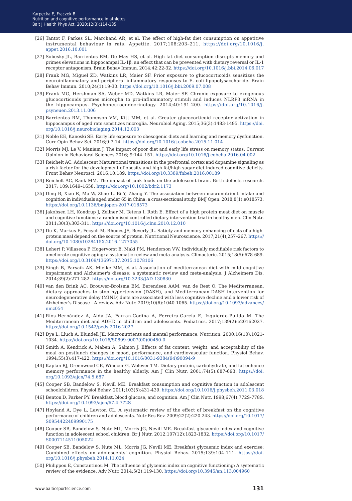- [26] Tantot F, Parkes SL, Marchand AR, et al. The effect of high-fat diet consumption on appetitive instrumental behaviour in rats. Appetite. 2017;108:203–211. [https://doi.org/10.1016/j.](https://doi.org/10.1016/j.appet.2016.10.001) [appet.2016.10.001](https://doi.org/10.1016/j.appet.2016.10.001)
- [27] Sobesky JL, Barrientos RM, De May HS, et al. High-fat diet consumption disrupts memory and primes elevations in hippocampal IL-1β, an effect that can be prevented with dietary reversal or IL-1 receptor antagonism. Brain Behav Immun. 2014;42:22-32. [https://doi.org/10.1016/j.bbi.2014.06.017](https://doi.org/10.1016/j.bbi.2014.06.017 )
- [28] Frank MG, Miguel ZD, Watkins LR, Maier SF. Prior exposure to glucocorticoids sensitizes the neuroinflammatory and peripheral inflammatory responses to E. coli lipopolysaccharide. Brain Behav Immun. 2010;24(1):19-30.<https://doi.org/10.1016/j.bbi.2009.07.008>
- [29] Frank MG, Hershman SA, Weber MD, Watkins LR, Maier SF. Chronic exposure to exogenous glucocorticoids primes microglia to pro-inflammatory stimuli and induces NLRP3 mRNA in the hippocampus. Psychoneuroendocrinology. 2014;40:191-200. [https://doi.org/10.1016/j.](https://doi.org/10.1016/j.psyneuen.2013.11.006) [psyneuen.2013.11.006](https://doi.org/10.1016/j.psyneuen.2013.11.006)
- [30] Barrientos RM, Thompson VM, Kitt MM, et al. Greater glucocorticoid receptor activation in hippocampus of aged rats sensitizes microglia. Neurobiol Aging. 2015;36(3):1483-1495. [https://doi.](https://doi.org/10.1016/j.neurobiolaging.2014.12.003) [org/10.1016/j.neurobiolaging.2014.12.003](https://doi.org/10.1016/j.neurobiolaging.2014.12.003)
- [31] Noble EE, Kanoski SE. Early life exposure to obesogenic diets and learning and memory dysfunction. Curr Opin Behav Sci. 2016;9:7-14.<https://doi.org/10.1016/j.cobeha.2015.11.014>
- [32] Morris MJ, Le V, Maniam J. The impact of poor diet and early life stress on memory status. Current Opinion in Behavioral Sciences 2016; 9:144–151. <https://doi.org/10.1016/j.cobeha.2016.04.002>
- [33] Reichelt AC. Adolescent Maturational transitions in the prefrontal cortex and dopamine signaling as a risk factor for the development of obesity and high fat/high sugar diet induced cognitive deficits. Front Behav Neurosci. 2016;10:189. <https://doi.org/10.3389/fnbeh.2016.00189>
- [34] Reichelt AC, Rank MM. The impact of junk foods on the adolescent brain. Birth defects research. 2017; 109:1649–1658.<https://doi.org/10.1002/bdr2.1173>
- [35] Ding B, Xiao R, Ma W, Zhao L, Bi Y, Zhang Y. The association between macronutrient intake and cognition in individuals aged under 65 in China: a cross-sectional study. BMJ Open. 2018;8(1):e018573. <https://doi.org/10.1136/bmjopen-2017-018573>
- [36] Jakobsen LH, Kondrup J, Zellner M, Tetens I, Roth E. Effect of a high protein meat diet on muscle and cognitive functions: a randomised controlled dietary intervention trial in healthy men. Clin Nutr. 2011;30(3):303-311. <https://doi.org/10.1016/j.clnu.2010.12.010>
- [37] Du K, Markus E, Fecych M, Rhodes JS, Beverly JL. Satiety and memory enhancing effects of a highprotein meal depend on the source of protein. Nutritional Neuroscience. 2017;21(4),257–267. [https://](https://doi.org/10.1080/1028415X.2016.1277055) [doi.org/10.1080/1028415X.2016.1277055](https://doi.org/10.1080/1028415X.2016.1277055)
- [38] Lehert P, Villaseca P, Hogervorst E, Maki PM, Henderson VW. Individually modifiable risk factors to ameliorate cognitive aging: a systematic review and meta-analysis. Climacteric. 2015;18(5):678-689. <https://doi.org/10.3109/13697137.2015.1078106>
- [39] Singh B, Parsaik AK, Mielke MM, et al. Association of mediterranean diet with mild cognitive impairment and Alzheimer's disease: a systematic review and meta-analysis. J Alzheimers Dis. 2014;39(2):271-282. <https://doi.org/10.3233/JAD-130830>
- [40] van den Brink AC, Brouwer-Brolsma EM, Berendsen AAM, van de Rest O. The Mediterranean, dietary approaches to stop hypertension (DASH), and Mediterranean-DASH intervention for neurodegenerative delay (MIND) diets are associated with less cognitive decline and a lower risk of Alzheimer's Disease - A review. Adv Nutr. 2019;10(6):1040-1065. [https://doi.org/10.1093/advances/](https://doi.org/10.1093/advances/nmz054) [nmz054](https://doi.org/10.1093/advances/nmz054)
- [41] Ríos-Hernández A, Alda JA, Farran-Codina A, Ferreira-García E, Izquierdo-Pulido M. The Mediterranean diet and ADHD in children and adolescents. Pediatrics. 2017;139(2):e20162027. <https://doi.org/10.1542/peds.2016-2027>
- [42] Dye L, Lluch A, Blundell JE. Macronutrients and mental performance. Nutrition. 2000;16(10):1021- 1034. [https://doi.org/10.1016/S0899-9007\(00\)00450-0](https://doi.org/10.1016/S0899-9007(00)00450-0)
- [43] Smith A, Kendrick A, Maben A, Salmon J. Effects of fat content, weight, and acceptability of the meal on postlunch changes in mood, performance, and cardiovascular function. Physiol Behav. 1994;55(3):417-422. [https://doi.org/10.1016/0031-9384\(94\)90094-9](https://doi.org/10.1016/0031-9384(94)90094-9)
- [44] Kaplan RJ, Greenwood CE, Winocur G, Wolever TM. Dietary protein, carbohydrate, and fat enhance memory performance in the healthy elderly. Am J Clin Nutr. 2001;74(5):687-693. [https://doi.](https://doi.org/10.1093/ajcn/74.5.687) [org/10.1093/ajcn/74.5.687](https://doi.org/10.1093/ajcn/74.5.687)
- [45] Cooper SB, Bandelow S, Nevill ME. Breakfast consumption and cognitive function in adolescent schoolchildren. Physiol Behav. 2011;103(5):431-439. [https://doi.org/10.1016/j.physbeh.2011.03.018](https://doi.org/10.1016/j.physbeh.2011.03.018 )
- [46] Benton D, Parker PY. Breakfast, blood glucose, and cognition. Am J Clin Nutr. 1998;67(4):772S-778S. <https://doi.org/10.1093/ajcn/67.4.772S>
- [47] Hoyland A, Dye L, Lawton CL. A systematic review of the effect of breakfast on the cognitive performance of children and adolescents. Nutr Res Rev. 2009;22(2):220-243. [https://doi.org/10.1017/](https://doi.org/10.1017/S0954422409990175 ) [S0954422409990175](https://doi.org/10.1017/S0954422409990175 )
- [48] Cooper SB, Bandelow S, Nute ML, Morris JG, Nevill ME. Breakfast glycaemic index and cognitive function in adolescent school children. Br J Nutr. 2012;107(12):1823-1832. [https://doi.org/10.1017/](https://doi.org/10.1017/S0007114511005022) [S0007114511005022](https://doi.org/10.1017/S0007114511005022)
- [49] Cooper SB, Bandelow S, Nute ML, Morris JG, Nevill ME. Breakfast glycaemic index and exercise: Combined effects on adolescents' cognition. Physiol Behav. 2015;139:104-111. [https://doi.](https://doi.org/10.1016/j.physbeh.2014.11.024) [org/10.1016/j.physbeh.2014.11.024](https://doi.org/10.1016/j.physbeh.2014.11.024)
- [50] Philippou E, Constantinou M. The influence of glycemic index on cognitive functioning: A systematic review of the evidence. Adv Nutr. 2014;5(2):119-130.<https://doi.org/10.3945/an.113.004960>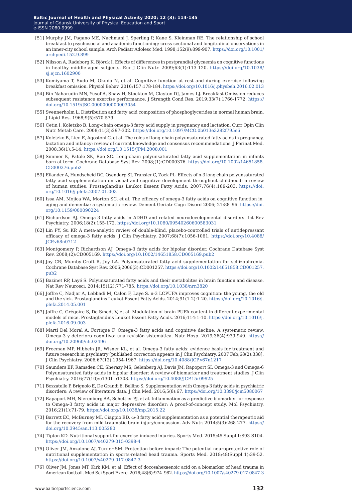- [51] Murphy JM, Pagano ME, Nachmani J, Sperling P, Kane S, Kleinman RE. The relationship of school breakfast to psychosocial and academic functioning: cross-sectional and longitudinal observations in an inner-city school sample. Arch Pediatr Adolesc Med. 1998;152(9):899-907. [https://doi.org/10.1001/](https://doi.org/10.1001/archpedi.152.9.899) [archpedi.152.9.899](https://doi.org/10.1001/archpedi.152.9.899)
- [52] Nilsson A, Radeborg K, Björck I. Effects of differences in postprandial glycaemia on cognitive functions in healthy middle-aged subjects. Eur J Clin Nutr. 2009;63(1):113-120. [https://doi.org/10.1038/](https://doi.org/10.1038/sj.ejcn.1602900) [sj.ejcn.1602900](https://doi.org/10.1038/sj.ejcn.1602900)
- [53] Komiyama T, Sudo M, Okuda N, et al. Cognitive function at rest and during exercise following breakfast omission. Physiol Behav. 2016;157:178-184.<https://doi.org/10.1016/j.physbeh.2016.02.013>
- [54] Bin Naharudin MN, Yusof A, Shaw H, Stockton M, Clayton DJ, James LJ. Breakfast Omission reduces subsequent resistance exercise performance. J Strength Cond Res. 2019;33(7):1766-1772. [https://](https://doi.org/10.1519/JSC.0000000000003054) [doi.org/10.1519/JSC.0000000000003054](https://doi.org/10.1519/JSC.0000000000003054)
- [55] Svennerholm L. Distribution and fatty acid composition of phosphoglycerides in normal human brain. J Lipid Res. 1968;9(5):570-579
- [56] Cetin I, Koletzko B. Long-chain omega-3 fatty acid supply in pregnancy and lactation. Curr Opin Clin Nutr Metab Care. 2008;11(3):297-302.<https://doi.org/10.1097/MCO.0b013e3282f795e6>
- [57] Koletzko B, Lien E, Agostoni C, et al. The roles of long-chain polyunsaturated fatty acids in pregnancy, lactation and infancy: review of current knowledge and consensus recommendations. J Perinat Med. 2008;36(1):5-14.<https://doi.org/10.1515/JPM.2008.001>
- [58] Simmer K, Patole SK, Rao SC. Long-chain polyunsaturated fatty acid supplementation in infants born at term. Cochrane Database Syst Rev. 2008;(1):CD000376. [https://doi.org/10.1002/14651858.](https://doi.org/10.1002/14651858.CD000376.pub2) [CD000376.pub2](https://doi.org/10.1002/14651858.CD000376.pub2)
- [59] Eilander A, Hundscheid DC, Osendarp SJ, Transler C, Zock PL. Effects of n-3 long chain polyunsaturated fatty acid supplementation on visual and cognitive development throughout childhood: a review of human studies. Prostaglandins Leukot Essent Fatty Acids. 2007;76(4):189-203. [https://doi.](https://doi.org/10.1016/j.plefa.2007.01.003) [org/10.1016/j.plefa.2007.01.003](https://doi.org/10.1016/j.plefa.2007.01.003)
- [60] Issa AM, Mojica WA, Morton SC, et al. The efficacy of omega-3 fatty acids on cognitive function in aging and dementia: a systematic review. Dement Geriatr Cogn Disord 2006; 21:88–96. [https://doi.](https://doi.org/10.1159/000090224) [org/10.1159/000090224](https://doi.org/10.1159/000090224)
- [61] Richardson AJ. Omega-3 fatty acids in ADHD and related neurodevelopmental disorders. Int Rev Psychiatry. 2006;18(2):155-172.<https://doi.org/10.1080/09540260600583031>
- [62] Lin PY, Su KP. A meta-analytic review of double-blind, placebo-controlled trials of antidepressant efficacy of omega-3 fatty acids. J Clin Psychiatry. 2007;68(7):1056-1061. [https://doi.org/10.4088/](https://doi.org/10.4088/JCP.v68n0712 ) [JCP.v68n0712](https://doi.org/10.4088/JCP.v68n0712 )
- [63] Montgomery P, Richardson AJ. Omega-3 fatty acids for bipolar disorder. Cochrane Database Syst Rev. 2008;(2):CD005169.<https://doi.org/10.1002/14651858.CD005169.pub2>
- [64] Joy CB, Mumby-Croft R, Joy LA. Polyunsaturated fatty acid supplementation for schizophrenia. Cochrane Database Syst Rev. 2006;2006(3):CD001257. [https://doi.org/10.1002/14651858.CD001257.](https://doi.org/10.1002/14651858.CD001257.pub2) [pub2](https://doi.org/10.1002/14651858.CD001257.pub2)
- [65] Bazinet RP, Layé S. Polyunsaturated fatty acids and their metabolites in brain function and disease. Nat Rev Neurosci. 2014;15(12):771-785. <https://doi.org/10.1038/nrn3820>
- [66] Joffre C, Nadjar A, Lebbadi M, Calon F, Laye S. n-3 LCPUFA improves cognition: the young, the old and the sick. Prostaglandins Leukot Essent Fatty Acids. 2014;91(1-2):1-20. [https://doi.org/10.1016/j.](https://doi.org/10.1016/j.plefa.2014.05.001) [plefa.2014.05.001](https://doi.org/10.1016/j.plefa.2014.05.001)
- [67] Joffre C, Grégoire S, De Smedt V, et al. Modulation of brain PUFA content in different experimental models of mice. Prostaglandins Leukot Essent Fatty Acids. 2016;114:1-10. [https://doi.org/10.1016/j.](https://doi.org/10.1016/j.plefa.2016.09.003) [plefa.2016.09.003](https://doi.org/10.1016/j.plefa.2016.09.003)
- [68] Martí Del Moral A, Fortique F. Omega-3 fatty acids and cognitive decline: A systematic review. Omega-3 y deterioro cognitivo: una revisión sistemática. Nutr Hosp. 2019;36(4):939-949. [https://](https://doi.org/10.20960/nh.02496) [doi.org/10.20960/nh.02496](https://doi.org/10.20960/nh.02496)
- [69] Freeman MP, Hibbeln JR, Wisner KL, et al. Omega-3 fatty acids: evidence basis for treatment and future research in psychiatry [published correction appears in J Clin Psychiatry. 2007 Feb;68(2):338]. J Clin Psychiatry. 2006;67(12):1954-1967.<https://doi.org/10.4088/JCP.v67n1217>
- [70] Saunders EF, Ramsden CE, Sherazy MS, Gelenberg AJ, Davis JM, Rapoport SI. Omega-3 and Omega-6 Polyunsaturated fatty acids in bipolar disorder: A review of biomarker and treatment studies. J Clin Psychiatry. 2016;77(10):e1301-e1308. <https://doi.org/10.4088/JCP.15r09925>
- [71] Bozzatello P, Brignolo E, De Grandi E, Bellino S. Supplementation with Omega-3 fatty acids in psychiatric disorders: A review of literature data. J Clin Med. 2016;5(8):67. <https://doi.org/10.3390/jcm5080067>
- [72] Rapaport MH, Nierenberg AA, Schettler PJ, et al. Inflammation as a predictive biomarker for response to Omega-3 fatty acids in major depressive disorder: A proof-of-concept study. Mol Psychiatry. 2016;21(1):71-79. <https://doi.org/10.1038/mp.2015.22>
- [73] Barrett EC, McBurney MI, Ciappio ED. ω-3 fatty acid supplementation as a potential therapeutic aid for the recovery from mild traumatic brain injury/concussion. Adv Nutr. 2014;5(3):268-277. [https://](https://doi.org/10.3945/an.113.005280 ) [doi.org/10.3945/an.113.005280](https://doi.org/10.3945/an.113.005280 )
- [74] Tipton KD. Nutritional support for exercise-induced injuries. Sports Med. 2015;45 Suppl 1:S93-S104. <https://doi.org/10.1007/s40279-015-0398-4>
- [75] Oliver JM, Anzalone AJ, Turner SM. Protection before impact: The potential neuroprotective role of nutritional supplementation in sports-related head trauma. Sports Med. 2018;48(Suppl 1):39-52. <https://doi.org/10.1007/s40279-017-0847-3>
- [76] Oliver JM, Jones MT, Kirk KM, et al. Effect of docosahexaenoic acid on a biomarker of head trauma in American football. Med Sci Sport Exerc. 2016;48(6):974–982. [https://doi.org/10.1007/s40279-017-0847-3](https://doi.org/10.1007/s40279-017-0847-3 )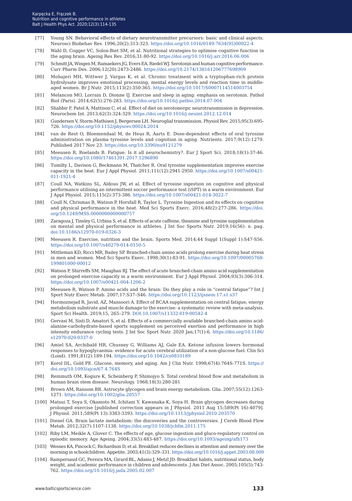- [77] Young SN. Behavioral effects of dietary neurotransmitter precursors: basic and clinical aspects. Neurosci Biobehav Rev. 1996;20(2):313-323. [https://doi.org/10.1016/0149-7634\(95\)00022-4](https://doi.org/10.1016/0149-7634(95)00022-4)
- [78] Wahl D, Cogger VC, Solon-Biet SM, et al. Nutritional strategies to optimise cognitive function in the aging brain. Ageing Res Rev. 2016;31:80-92.<https://doi.org/10.1016/j.arr.2016.06.006>
- [79] Schmitt JA, Wingen M, Ramaekers JG, Evers EA, Riedel WJ. Serotonin and human cognitive performance. Curr Pharm Des. 2006;12(20):2473-2486. [https://doi.org/10.2174/138161206777698909](https://doi.org/10.2174/138161206777698909 )
- [80] Mohajeri MH, Wittwer J, Vargas K, et al. Chronic treatment with a tryptophan-rich protein hydrolysate improves emotional processing, mental energy levels and reaction time in middleaged women. Br J Nutr. 2015;113(2):350-365. <https://doi.org/10.1017/S0007114514003754>
- [81] Melancon MO, Lorrain D, Dionne IJ. Exercise and sleep in aging: emphasis on serotonin. Pathol Biol (Paris). 2014;62(5):276-283.<https://doi.org/10.1016/j.patbio.2014.07.004>
- [82] Shabbir F, Patel A, Mattison C, et al. Effect of diet on serotonergic neurotransmission in depression. Neurochem Int. 2013;62(3):324-329. <https://doi.org/10.1016/j.neuint.2012.12.014>
- [83] Gundersen V, Storm-Mathisen J, Bergersen LH. Neuroglial transmission. Physiol Rev. 2015;95(3):695- 726. <https://doi.org/10.1152/physrev.00024.2014>
- [84] van de Rest O, Bloemendaal M, de Heus R, Aarts E. Dose-dependent effects of oral tyrosine administration on plasma tyrosine levels and cognition in aging. Nutrients. 2017;9(12):1279. Published 2017 Nov 23. <https://doi.org/10.3390/nu9121279>
- [85] Meeusen R, Roelands B. Fatigue: Is it all neurochemistry?. Eur J Sport Sci. 2018;18(1):37-46. <https://doi.org/10.1080/17461391.2017.1296890>
- [86] Tumilty L, Davison G, Beckmann M, Thatcher R. Oral tyrosine supplementation improves exercise capacity in the heat. Eur J Appl Physiol. 2011;111(12):2941-2950. [https://doi.org/10.1007/s00421-](https://doi.org/10.1007/s00421-011-1921-4) [011-1921-4](https://doi.org/10.1007/s00421-011-1921-4)
- [87] Coull NA, Watkins SL, Aldous JW, et al. Effect of tyrosine ingestion on cognitive and physical performance utilising an intermittent soccer performance test (iSPT) in a warm environment. Eur J Appl Physiol. 2015;115(2):373-386.<https://doi.org/10.1007/s00421-014-3022-7>
- [88] Coull N, Chrismas B, Watson P, Horsfall R, Taylor L. Tyrosine Ingestion and its effects on cognitive and physical performance in the heat. Med Sci Sports Exerc. 2016;48(2):277-286. [https://doi.](https://doi.org/10.1249/MSS.0000000000000757) [org/10.1249/MSS.0000000000000757](https://doi.org/10.1249/MSS.0000000000000757)
- [89] Zaragoza J, Tinsley G, Urbina S, et al. Effects of acute caffeine, theanine and tyrosine supplementation on mental and physical performance in athletes. J Int Soc Sports Nutr. 2019;16(56): n. pag. <doi:10.1186/s12970-019-0326-3>
- [90] Meeusen R. Exercise, nutrition and the brain. Sports Med. 2014;44 Suppl 1(Suppl 1):S47-S56. <https://doi.org/10.1007/s40279-014-0150-5>
- [91] Mittleman KD, Ricci MR, Bailey SP. Branched-chain amino acids prolong exercise during heat stress in men and women. Med Sci Sports Exerc. 1998;30(1):83-91. [https://doi.org/10.1097/00005768-](https://doi.org/10.1097/00005768-199801000-00012) [199801000-00012](https://doi.org/10.1097/00005768-199801000-00012)
- [92] Watson P, Shirreffs SM, Maughan RJ. The effect of acute branched-chain amino acid supplementation on prolonged exercise capacity in a warm environment. Eur J Appl Physiol. 2004;93(3):306-314. <https://doi.org/10.1007/s00421-004-1206-2>
- [93] Meeusen R, Watson P. Amino acids and the brain: Do they play a role in "central fatigue"? Int J Sport Nutr Exerc Metab. 2007;17:S37–S46.<https://doi.org/10.1123/ijsnem.17.s1.s37>
- [94] Hormoznejad R, Javid, AZ, Mansoori A. Effect of BCAA supplementation on central fatigue, energy metabolism substrate and muscle damage to the exercise: a systematic review with meta-analysis. Sport Sci Health. 2019;15, 265–279.<DOI:10.1007/s11332-019-00542-4>
- [95] Gervasi M, Sisti D, Amatori S, et al. Effects of a commercially available branched-chain amino acidalanine-carbohydrate-based sports supplement on perceived exertion and performance in high intensity endurance cycling tests. J Int Soc Sport Nutr. 2020 Jan;17(1):6. [https://doi.org/10.1186/](https://doi.org/10.1186/s12970-020-0337-0) [s12970-020-0337-0](https://doi.org/10.1186/s12970-020-0337-0)
- [96] Amiel SA, Archibald HR, Chusney G, Williams AJ, Gale EA. Ketone infusion lowers hormonal responses to hypoglycaemia: evidence for acute cerebral utilization of a non-glucose fuel. Clin Sci (Lond). 1991;81(2):189-194.<https://doi.org/10.1042/cs0810189>
- [97] Korol DL, Gold PE. Glucose, memory, and aging. Am J Clin Nutr. 1998;67(4):764S-771S. [https://](https://doi.org/10.1093/ajcn/67.4.764S) [doi.org/10.1093/ajcn/67.4.764S](https://doi.org/10.1093/ajcn/67.4.764S)
- [98] Reinmuth OM, Kogure K, Scheinberg P, Shimojyo S. Total cerebral blood flow and metabolism in human brain stem disease. Neurology. 1968;18(3):280-281
- [99] Brown AM, Ransom BR. Astrocyte glycogen and brain energy metabolism. Glia. 2007;55(12):1263- 1271. <https://doi.org/10.1002/glia.20557>
- [100] Matsui T, Soya S, Okamoto M, Ichitani Y, Kawanaka K, Soya H. Brain glycogen decreases during prolonged exercise [published correction appears in J Physiol. 2011 Aug 15;589(Pt 16):4079]. J Physiol. 2011;589(Pt 13):3383-3393.<https://doi.org/10.1113/jphysiol.2010.203570>
- [101] Dienel GA. Brain lactate metabolism: the discoveries and the controversies. J Cereb Blood Flow Metab. 2012;32(7):1107-1138. <https://doi.org/10.1038/jcbfm.2011.175>
- [102] Riby LM, Meikle A, Glover C. The effects of age, glucose ingestion and gluco-regulatory control on episodic memory. Age Ageing. 2004;33(5):483-487. <https://doi.org/10.1093/ageing/afh173>
- [103] Wesnes KA, Pincock C, Richardson D, et al. Breakfast reduces declines in attention and memory over the morning in schoolchildren. Appetite. 2003;41(3):329–331.<https://doi.org/10.1016/j.appet.2003.08.009>
- [104] Rampersaud GC, Pereira MA, Girard BL, Adams J, Metzl JD. Breakfast habits, nutritional status, body weight, and academic performance in children and adolescents. J Am Diet Assoc. 2005;105(5):743- 762. <https://doi.org/10.1016/j.jada.2005.02.007>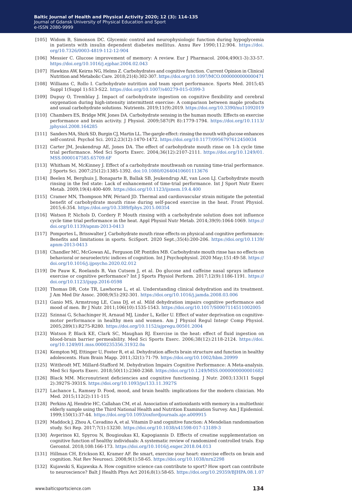- [105] Widom B, Simonson DC. Glycemic control and neurophysiologic function during hypoglycemia in patients with insulin dependent diabetes mellitus. Annu Rev 1990;112:904. [https://doi.](https://doi.org/10.7326/0003-4819-112-12-904 ) [org/10.7326/0003-4819-112-12-904](https://doi.org/10.7326/0003-4819-112-12-904 )
- [106] Messier C. Glucose improvement of memory: A review. Eur J Pharmacol. 2004;490(1-3):33-57. <https://doi.org/10.1016/j.ejphar.2004.02.043>
- [107] Hawkins AW, Keirns NG, Helms Z. Carbohydrates and cognitive function. Current Opinion in Clinical Nutrition and Metabolic Care. 2018;21(4):302-307. [https://doi.org/10.1097/MCO.0000000000000471](https://doi.org/10.1097/MCO.0000000000000471 )
- [108] Williams C, Rollo I. Carbohydrate nutrition and team sport performance. Sports Med. 2015;45 Suppl 1(Suppl 1):S13-S22. <https://doi.org/10.1007/s40279-015-0399-3>
- [109] Dupuy O, Tremblay J. Impact of carbohydrate ingestion on cognitive flexibility and cerebral oxygenation during high-intensity intermittent exercise: A comparison between maple products and usual carbohydrate solutions. Nutrients. 2019;11(9):2019. [https://doi.org/10.3390/nu11092019](https://doi.org/10.3390/nu11092019 )
- [110] Chambers ES, Bridge MW, Jones DA. Carbohydrate sensing in the human mouth: Effects on exercise performance and brain activity. J Physiol. 2009;587(Pt 8):1779-1794. [https://doi.org/10.1113/](https://doi.org/10.1113/jphysiol.2008.164285) [jphysiol.2008.164285](https://doi.org/10.1113/jphysiol.2008.164285)
- [111] Sanders MA, Shirk SD, Burgin CJ, Martin LL. The gargle effect: rinsing the mouth with glucose enhances self-control. Psychol Sci. 2012;23(12):1470-1472. <https://doi.org/10.1177/0956797612450034>
- [112] Carter JM, Jeukendrup AE, Jones DA. The effect of carbohydrate mouth rinse on 1-h cycle time trial performance. Med Sci Sports Exerc. 2004;36(12):2107-2111. [https://doi.org/10.1249/01.](https://doi.org/10.1249/01.MSS.0000147585.65709.6F) [MSS.0000147585.65709.6F](https://doi.org/10.1249/01.MSS.0000147585.65709.6F)
- [113] Whitham M, McKinney J. Effect of a carbohydrate mouthwash on running time-trial performance. J Sports Sci. 2007;25(12):1385-1392. <doi:10.1080/02640410601113676>
- [114] Beelen M, Berghuis J, Bonaparte B, Ballak SB, Jeukendrup AE, van Loon LJ. Carbohydrate mouth rinsing in the fed state: Lack of enhancement of time-trial performance. Int J Sport Nutr Exerc Metab. 2009;19(4):400-409. <https://doi.org/10.1123/ijsnem.19.4.400>
- [115] Cramer MN, Thompson MW, Périard JD. Thermal and cardiovascular strain mitigate the potential benefit of carbohydrate mouth rinse during self-paced exercise in the heat. Front Physiol. 2015;6:354.<https://doi.org/10.3389/fphys.2015.00354>
- [116] Watson P, Nichols D, Cordery P. Mouth rinsing with a carbohydrate solution does not influence cycle time trial performance in the heat. Appl Physiol Nutr Metab. 2014;39(9):1064-1069. [https://](https://doi.org/10.1139/apnm-2013-0413) [doi.org/10.1139/apnm-2013-0413](https://doi.org/10.1139/apnm-2013-0413)
- [117] Pomportes L, Brisswalter J. Carbohydrate mouth rinse effects on physical and cognitive performance: Benefits and limitations in sports. SciSport. 2020 Sept.;35(4):200-206. [https://doi.org/10.1139/](https://doi.org/10.1139/apnm-2013-0413 ) [apnm-2013-0413](https://doi.org/10.1139/apnm-2013-0413 )
- [118] Chandler MC, McGowan AL, Ferguson DP, Pontifex MB. Carbohydrate mouth rinse has no effects on behavioral or neuroelectric indices of cognition. Int J Psychophysiol. 2020 May;151:49-58. [https://](https://doi.org/10.1016/j.ijpsycho.2020.02.012 ) [doi.org/10.1016/j.ijpsycho.2020.02.012](https://doi.org/10.1016/j.ijpsycho.2020.02.012 )
- [119] De Pauw K, Roelands B, Van Cutsem J, et al. Do glucose and caffeine nasal sprays influence exercise or cognitive performance? Int J Sports Physiol Perform. 2017;12(9):1186-1191. [https://](https://doi.org/10.1123/ijspp.2016-0598 ) [doi.org/10.1123/ijspp.2016-0598](https://doi.org/10.1123/ijspp.2016-0598 )
- [120] Thomas DR, Cote TR, Lawhorne L, et al. Understanding clinical dehydration and its treatment. J Am Med Dir Assoc. 2008;9(5):292-301.<https://doi.org/10.1016/j.jamda.2008.03.006>
- [121] Ganio MS, Armstrong LE, Casa DJ, et al. Mild dehydration impairs cognitive performance and mood of men. Br J Nutr. 2011;106(10):1535-1543. [https://doi.org/10.1017/S0007114511002005](https://doi.org/10.1017/S0007114511002005 )
- [122] Szinnai G, Schachinger H, Arnaud MJ, Linder L, Keller U. Effect of water deprivation on cognitivemotor performance in healthy men and women. Am J Physiol Regul Integr Comp Physiol. 2005;289(1):R275-R280. <https://doi.org/10.1152/ajpregu.00501.2004>
- [123] Watson P, Black KE, Clark SC, Maughan RJ. Exercise in the heat: effect of fluid ingestion on blood-brain barrier permeability. Med Sci Sports Exerc. 2006;38(12):2118-2124. [https://doi.](https://doi.org/10.1249/01.mss.0000235356.31932.0a ) [org/10.1249/01.mss.0000235356.31932.0a](https://doi.org/10.1249/01.mss.0000235356.31932.0a )
- [124] Kempton MJ, Ettinger U, Foster R, et al. Dehydration affects brain structure and function in healthy adolescents. Hum Brain Mapp. 2011;32(1):71-79. <https://doi.org/10.1002/hbm.20999>
- [125] Wittbrodt MT, Millard-Stafford M. Dehydration Impairs Cognitive Performance: A Meta-analysis. Med Sci Sports Exerc. 2018;50(11):2360-2368. [https://doi.org/10.1249/MSS.0000000000001682](https://doi.org/10.1249/MSS.0000000000001682 )
- [126] Black MM. Micronutrient deficiencies and cognitive functioning. J Nutr. 2003;133(11 Suppl 2):3927S-3931S. <https://doi.org/10.1093/jn/133.11.3927S>
- [127] Lachance L, Ramsey D. Food, mood, and brain health: implications for the modern clinician. Mo Med. 2015;112(2):111-115
- [128] Perkins AJ, Hendrie HC, Callahan CM, et al. Association of antioxidants with memory in a multiethnic elderly sample using the Third National Health and Nutrition Examination Survey. Am J Epidemiol. 1999;150(1):37-44.<https://doi.org/10.1093/oxfordjournals.aje.a009915>
- [129] Maddock J, Zhou A, Cavadino A, et al. Vitamin D and cognitive function: A Mendelian randomisation study. Sci Rep. 2017;7(1):13230. <https://doi.org/10.1038/s41598-017-13189-3>
- [130] Avgerinos KI, Spyrou N, Bougioukas KI, Kapogiannis D. Effects of creatine supplementation on cognitive function of healthy individuals: A systematic review of randomized controlled trials. Exp Gerontol. 2018;108:166-173. <https://doi.org/10.1016/j.exger.2018.04.013>
- [131] Hillman CH, Erickson KI, Kramer AF. Be smart, exercise your heart: exercise effects on brain and cognition. Nat Rev Neurosci. 2008;9(1):58-65.<https://doi.org/10.1038/nrn2298>
- [132] Kujawski S, Kujawska A. How cognitive science can contribute to sport? How sport can contribute to neuroscience? Balt J Health Phys Act 2016;8(1):58-65. [https://doi.org/10.29359/BJHPA.08.1.07](https://doi.org/10.29359/BJHPA.08.1.07 )